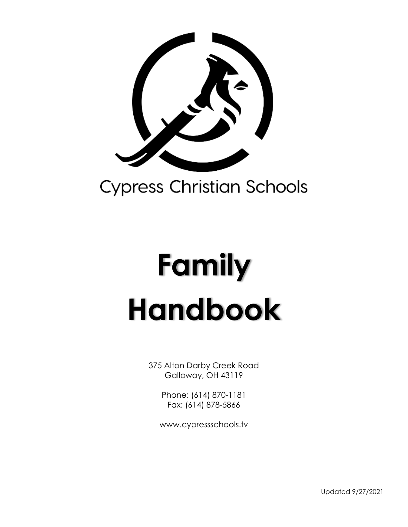

# **Family Handbook**

375 Alton Darby Creek Road Galloway, OH 43119

> Phone: (614) 870-1181 Fax: (614) 878-5866

www.cypressschools.tv

Updated 9/27/2021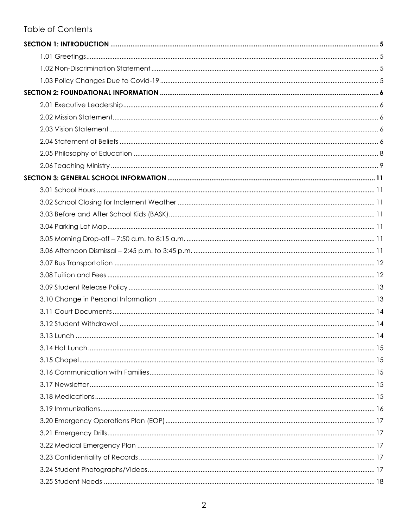#### **Table of Contents**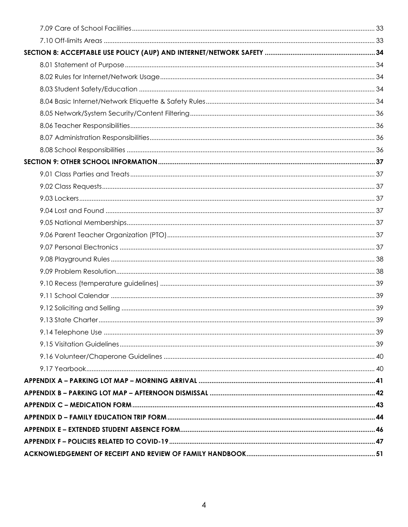| 39 |
|----|
|    |
|    |
|    |
|    |
|    |
|    |
|    |
|    |
|    |
|    |
|    |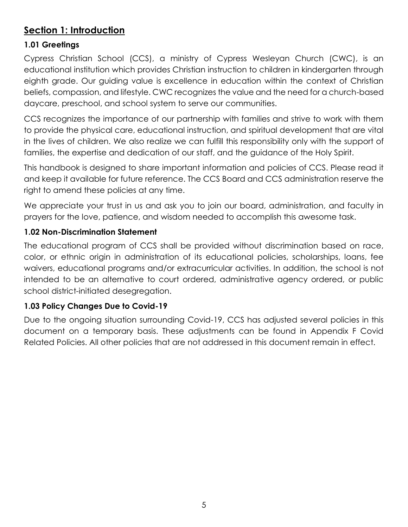# <span id="page-4-0"></span>**Section 1: Introduction**

## <span id="page-4-1"></span>**1.01 Greetings**

Cypress Christian School (CCS), a ministry of Cypress Wesleyan Church (CWC), is an educational institution which provides Christian instruction to children in kindergarten through eighth grade. Our guiding value is excellence in education within the context of Christian beliefs, compassion, and lifestyle. CWC recognizes the value and the need for a church-based daycare, preschool, and school system to serve our communities.

CCS recognizes the importance of our partnership with families and strive to work with them to provide the physical care, educational instruction, and spiritual development that are vital in the lives of children. We also realize we can fulfill this responsibility only with the support of families, the expertise and dedication of our staff, and the guidance of the Holy Spirit.

This handbook is designed to share important information and policies of CCS. Please read it and keep it available for future reference. The CCS Board and CCS administration reserve the right to amend these policies at any time.

We appreciate your trust in us and ask you to join our board, administration, and faculty in prayers for the love, patience, and wisdom needed to accomplish this awesome task.

## <span id="page-4-2"></span>**1.02 Non-Discrimination Statement**

The educational program of CCS shall be provided without discrimination based on race, color, or ethnic origin in administration of its educational policies, scholarships, loans, fee waivers, educational programs and/or extracurricular activities. In addition, the school is not intended to be an alternative to court ordered, administrative agency ordered, or public school district-initiated desegregation.

# <span id="page-4-3"></span>**1.03 Policy Changes Due to Covid-19**

Due to the ongoing situation surrounding Covid-19, CCS has adjusted several policies in this document on a temporary basis. These adjustments can be found in Appendix F Covid Related Policies. All other policies that are not addressed in this document remain in effect.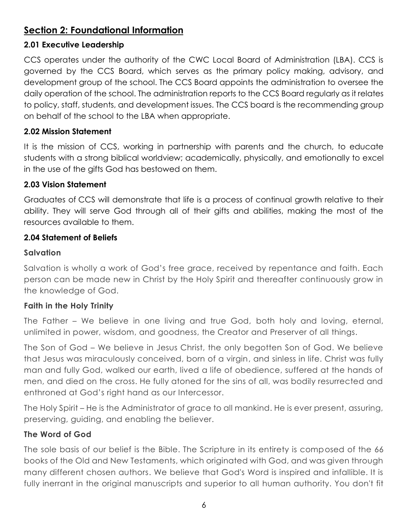# <span id="page-5-0"></span>**Section 2: Foundational Information**

#### <span id="page-5-1"></span>**2.01 Executive Leadership**

CCS operates under the authority of the CWC Local Board of Administration (LBA). CCS is governed by the CCS Board, which serves as the primary policy making, advisory, and development group of the school. The CCS Board appoints the administration to oversee the daily operation of the school. The administration reports to the CCS Board regularly as it relates to policy, staff, students, and development issues. The CCS board is the recommending group on behalf of the school to the LBA when appropriate.

#### <span id="page-5-2"></span>**2.02 Mission Statement**

It is the mission of CCS, working in partnership with parents and the church, to educate students with a strong biblical worldview; academically, physically, and emotionally to excel in the use of the gifts God has bestowed on them.

#### <span id="page-5-3"></span>**2.03 Vision Statement**

Graduates of CCS will demonstrate that life is a process of continual growth relative to their ability. They will serve God through all of their gifts and abilities, making the most of the resources available to them.

#### <span id="page-5-4"></span>**2.04 Statement of Beliefs**

#### **Salvation**

Salvation is wholly a work of God's free grace, received by repentance and faith. Each person can be made new in Christ by the Holy Spirit and thereafter continuously grow in the knowledge of God.

#### **Faith in the Holy Trinity**

The Father – We believe in one living and true God, both holy and loving, eternal, unlimited in power, wisdom, and goodness, the Creator and Preserver of all things.

The Son of God – We believe in Jesus Christ, the only begotten Son of God. We believe that Jesus was miraculously conceived, born of a virgin, and sinless in life. Christ was fully man and fully God, walked our earth, lived a life of obedience, suffered at the hands of men, and died on the cross. He fully atoned for the sins of all, was bodily resurrected and enthroned at God's right hand as our Intercessor.

The Holy Spirit – He is the Administrator of grace to all mankind. He is ever present, assuring, preserving, guiding, and enabling the believer.

#### **The Word of God**

The sole basis of our belief is the Bible. The Scripture in its entirety is composed of the 66 books of the Old and New Testaments, which originated with God, and was given through many different chosen authors. We believe that God's Word is inspired and infallible. It is fully inerrant in the original manuscripts and superior to all human authority. You don't fit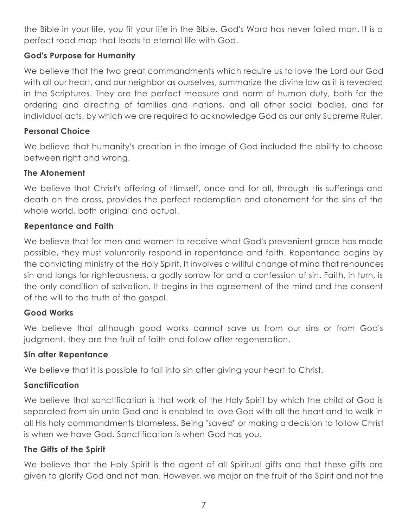the Bible in your life, you fit your life in the Bible. God's Word has never failed man. It is a perfect road map that leads to eternal life with God.

## **God's Purpose for Humanity**

We believe that the two great commandments which require us to love the Lord our God with all our heart, and our neighbor as ourselves, summarize the divine law as it is revealed in the Scriptures. They are the perfect measure and norm of human duty, both for the ordering and directing of families and nations, and all other social bodies, and for individual acts, by which we are required to acknowledge God as our only Supreme Ruler.

#### **Personal Choice**

We believe that humanity's creation in the image of God included the ability to choose between right and wrong.

#### **The Atonement**

We believe that Christ's offering of Himself, once and for all, through His sufferings and death on the cross, provides the perfect redemption and atonement for the sins of the whole world, both original and actual.

#### **Repentance and Faith**

We believe that for men and women to receive what God's prevenient grace has made possible, they must voluntarily respond in repentance and faith. Repentance begins by the convicting ministry of the Holy Spirit. It involves a willful change of mind that renounces sin and longs for righteousness, a godly sorrow for and a confession of sin. Faith, in turn, is the only condition of salvation. It begins in the agreement of the mind and the consent of the will to the truth of the gospel.

# **Good Works**

We believe that although good works cannot save us from our sins or from God's judgment, they are the fruit of faith and follow after regeneration.

#### **Sin after Repentance**

We believe that it is possible to fall into sin after giving your heart to Christ.

# **Sanctification**

We believe that sanctification is that work of the Holy Spirit by which the child of God is separated from sin unto God and is enabled to love God with all the heart and to walk in all His holy commandments blameless. Being "saved" or making a decision to follow Christ is when we have God. Sanctification is when God has you.

#### **The Gifts of the Spirit**

We believe that the Holy Spirit is the agent of all Spiritual gifts and that these gifts are given to glorify God and not man. However, we major on the fruit of the Spirit and not the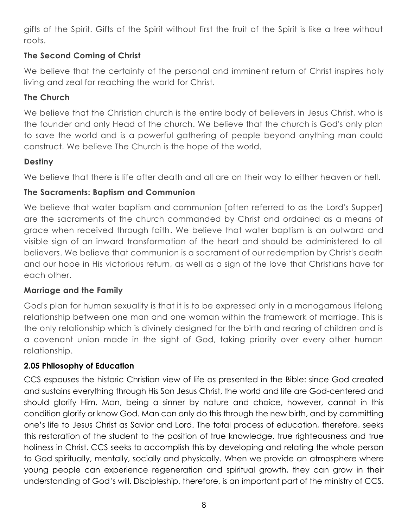gifts of the Spirit. Gifts of the Spirit without first the fruit of the Spirit is like a tree without roots.

# **The Second Coming of Christ**

We believe that the certainty of the personal and imminent return of Christ inspires holy living and zeal for reaching the world for Christ.

## **The Church**

We believe that the Christian church is the entire body of believers in Jesus Christ, who is the founder and only Head of the church. We believe that the church is God's only plan to save the world and is a powerful gathering of people beyond anything man could construct. We believe The Church is the hope of the world.

## **Destiny**

We believe that there is life after death and all are on their way to either heaven or hell.

## **The Sacraments: Baptism and Communion**

We believe that water baptism and communion [often referred to as the Lord's Supper] are the sacraments of the church commanded by Christ and ordained as a means of grace when received through faith. We believe that water baptism is an outward and visible sign of an inward transformation of the heart and should be administered to all believers. We believe that communion is a sacrament of our redemption by Christ's death and our hope in His victorious return, as well as a sign of the love that Christians have for each other.

#### **Marriage and the Family**

God's plan for human sexuality is that it is to be expressed only in a monogamous lifelong relationship between one man and one woman within the framework of marriage. This is the only relationship which is divinely designed for the birth and rearing of children and is a covenant union made in the sight of God, taking priority over every other human relationship.

#### <span id="page-7-0"></span>**2.05 Philosophy of Education**

CCS espouses the historic Christian view of life as presented in the Bible: since God created and sustains everything through His Son Jesus Christ, the world and life are God-centered and should glorify Him. Man, being a sinner by nature and choice, however, cannot in this condition glorify or know God. Man can only do this through the new birth, and by committing one's life to Jesus Christ as Savior and Lord. The total process of education, therefore, seeks this restoration of the student to the position of true knowledge, true righteousness and true holiness in Christ. CCS seeks to accomplish this by developing and relating the whole person to God spiritually, mentally, socially and physically. When we provide an atmosphere where young people can experience regeneration and spiritual growth, they can grow in their understanding of God's will. Discipleship, therefore, is an important part of the ministry of CCS.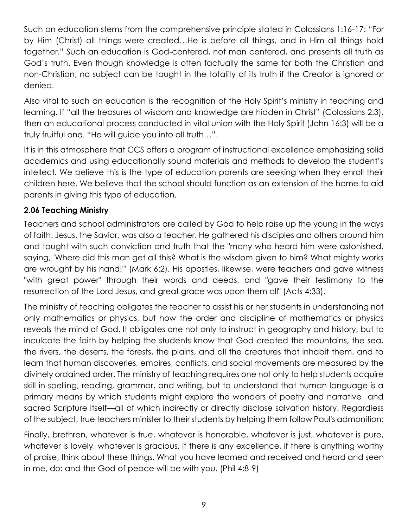Such an education stems from the comprehensive principle stated in Colossians 1:16-17: "For by Him (Christ) all things were created…He is before all things, and in Him all things hold together." Such an education is God-centered, not man centered, and presents all truth as God's truth. Even though knowledge is often factually the same for both the Christian and non-Christian, no subject can be taught in the totality of its truth if the Creator is ignored or denied.

Also vital to such an education is the recognition of the Holy Spirit's ministry in teaching and learning. If "all the treasures of wisdom and knowledge are hidden in Christ" (Colossians 2:3), then an educational process conducted in vital union with the Holy Spirit (John 16:3) will be a truly fruitful one. "He will guide you into all truth…".

It is in this atmosphere that CCS offers a program of instructional excellence emphasizing solid academics and using educationally sound materials and methods to develop the student's intellect. We believe this is the type of education parents are seeking when they enroll their children here. We believe that the school should function as an extension of the home to aid parents in giving this type of education.

## <span id="page-8-0"></span>**2.06 Teaching Ministry**

Teachers and school administrators are called by God to help raise up the young in the ways of faith. Jesus, the Savior, was also a teacher. He gathered his disciples and others around him and taught with such conviction and truth that the "many who heard him were astonished, saying, 'Where did this man get all this? What is the wisdom given to him? What mighty works are wrought by his hand!'" (Mark 6:2). His apostles, likewise, were teachers and gave witness "with great power" through their words and deeds, and "gave their testimony to the resurrection of the Lord Jesus, and great grace was upon them all" (Acts 4:33).

The ministry of teaching obligates the teacher to assist his or her students in understanding not only mathematics or physics, but how the order and discipline of mathematics or physics reveals the mind of God. It obligates one not only to instruct in geography and history, but to inculcate the faith by helping the students know that God created the mountains, the sea, the rivers, the deserts, the forests, the plains, and all the creatures that inhabit them, and to learn that human discoveries, empires, conflicts, and social movements are measured by the divinely ordained order. The ministry of teaching requires one not only to help students acquire skill in spelling, reading, grammar, and writing, but to understand that human language is a primary means by which students might explore the wonders of poetry and narrative and sacred Scripture itself—all of which indirectly or directly disclose salvation history. Regardless of the subject, true teachers minister to their students by helping them follow Paul's admonition:

Finally, brethren, whatever is true, whatever is honorable, whatever is just, whatever is pure, whatever is lovely, whatever is gracious, if there is any excellence, if there is anything worthy of praise, think about these things. What you have learned and received and heard and seen in me, do: and the God of peace will be with you. (Phil 4:8-9)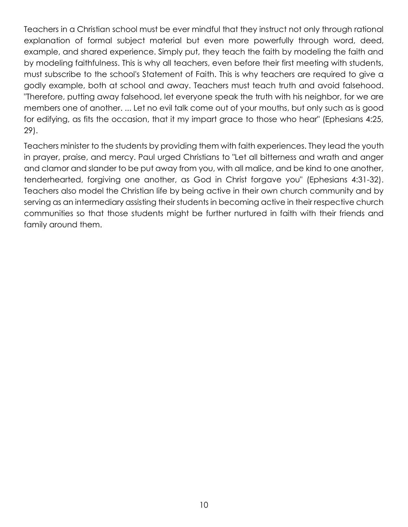Teachers in a Christian school must be ever mindful that they instruct not only through rational explanation of formal subject material but even more powerfully through word, deed, example, and shared experience. Simply put, they teach the faith by modeling the faith and by modeling faithfulness. This is why all teachers, even before their first meeting with students, must subscribe to the school's Statement of Faith. This is why teachers are required to give a godly example, both at school and away. Teachers must teach truth and avoid falsehood. "Therefore, putting away falsehood, let everyone speak the truth with his neighbor, for we are members one of another. ... Let no evil talk come out of your mouths, but only such as is good for edifying, as fits the occasion, that it my impart grace to those who hear" (Ephesians 4:25, 29).

Teachers minister to the students by providing them with faith experiences. They lead the youth in prayer, praise, and mercy. Paul urged Christians to "Let all bitterness and wrath and anger and clamor and slander to be put away from you, with all malice, and be kind to one another, tenderhearted, forgiving one another, as God in Christ forgave you" (Ephesians 4:31-32). Teachers also model the Christian life by being active in their own church community and by serving as an intermediary assisting their students in becoming active in their respective church communities so that those students might be further nurtured in faith with their friends and family around them.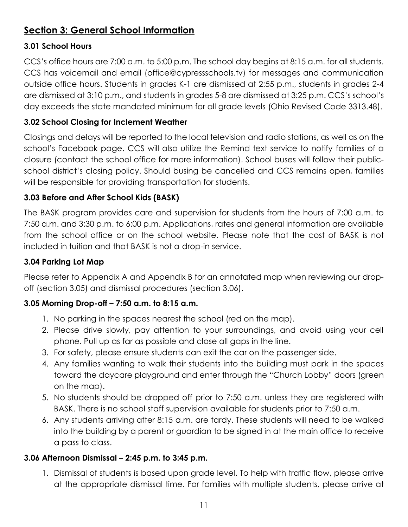# <span id="page-10-0"></span>**Section 3: General School Information**

# <span id="page-10-1"></span>**3.01 School Hours**

CCS's office hours are 7:00 a.m. to 5:00 p.m. The school day begins at 8:15 a.m. for all students. CCS has voicemail and email (office@cypressschools.tv) for messages and communication outside office hours. Students in grades K-1 are dismissed at 2:55 p.m., students in grades 2-4 are dismissed at 3:10 p.m., and students in grades 5-8 are dismissed at 3:25 p.m. CCS's school's day exceeds the state mandated minimum for all grade levels (Ohio Revised Code 3313.48).

# <span id="page-10-2"></span>**3.02 School Closing for Inclement Weather**

Closings and delays will be reported to the local television and radio stations, as well as on the school's Facebook page. CCS will also utilize the Remind text service to notify families of a closure (contact the school office for more information). School buses will follow their publicschool district's closing policy. Should busing be cancelled and CCS remains open, families will be responsible for providing transportation for students.

# <span id="page-10-3"></span>**3.03 Before and After School Kids (BASK)**

The BASK program provides care and supervision for students from the hours of 7:00 a.m. to 7:50 a.m. and 3:30 p.m. to 6:00 p.m. Applications, rates and general information are available from the school office or on the school website. Please note that the cost of BASK is not included in tuition and that BASK is not a drop-in service.

## <span id="page-10-4"></span>**3.04 Parking Lot Map**

Please refer to Appendix A and Appendix B for an annotated map when reviewing our dropoff (section 3.05) and dismissal procedures (section 3.06).

# <span id="page-10-5"></span>**3.05 Morning Drop-off – 7:50 a.m. to 8:15 a.m.**

- 1. No parking in the spaces nearest the school (red on the map).
- 2. Please drive slowly, pay attention to your surroundings, and avoid using your cell phone. Pull up as far as possible and close all gaps in the line.
- 3. For safety, please ensure students can exit the car on the passenger side.
- 4. Any families wanting to walk their students into the building must park in the spaces toward the daycare playground and enter through the "Church Lobby" doors (green on the map).
- 5. No students should be dropped off prior to 7:50 a.m. unless they are registered with BASK. There is no school staff supervision available for students prior to 7:50 a.m.
- 6. Any students arriving after 8:15 a.m. are tardy. These students will need to be walked into the building by a parent or guardian to be signed in at the main office to receive a pass to class.

# <span id="page-10-6"></span>**3.06 Afternoon Dismissal – 2:45 p.m. to 3:45 p.m.**

1. Dismissal of students is based upon grade level. To help with traffic flow, please arrive at the appropriate dismissal time. For families with multiple students, please arrive at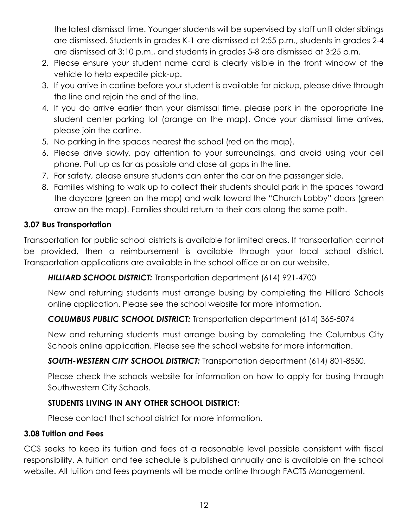the latest dismissal time. Younger students will be supervised by staff until older siblings are dismissed. Students in grades K-1 are dismissed at 2:55 p.m., students in grades 2-4 are dismissed at 3:10 p.m., and students in grades 5-8 are dismissed at 3:25 p.m.

- 2. Please ensure your student name card is clearly visible in the front window of the vehicle to help expedite pick-up.
- 3. If you arrive in carline before your student is available for pickup, please drive through the line and rejoin the end of the line.
- 4. If you do arrive earlier than your dismissal time, please park in the appropriate line student center parking lot (orange on the map). Once your dismissal time arrives, please join the carline.
- 5. No parking in the spaces nearest the school (red on the map).
- 6. Please drive slowly, pay attention to your surroundings, and avoid using your cell phone. Pull up as far as possible and close all gaps in the line.
- 7. For safety, please ensure students can enter the car on the passenger side.
- 8. Families wishing to walk up to collect their students should park in the spaces toward the daycare (green on the map) and walk toward the "Church Lobby" doors (green arrow on the map). Families should return to their cars along the same path.

#### <span id="page-11-0"></span>**3.07 Bus Transportation**

Transportation for public school districts is available for limited areas. If transportation cannot be provided, then a reimbursement is available through your local school district. Transportation applications are available in the school office or on our website.

*HILLIARD SCHOOL DISTRICT:* Transportation department (614) 921-4700

New and returning students must arrange busing by completing the Hilliard Schools online application. Please see the school website for more information.

# *COLUMBUS PUBLIC SCHOOL DISTRICT:* Transportation department (614) 365-5074

New and returning students must arrange busing by completing the Columbus City Schools online application. Please see the school website for more information.

# *SOUTH-WESTERN CITY SCHOOL DISTRICT:* Transportation department (614) 801-8550,

Please check the schools website for information on how to apply for busing through Southwestern City Schools.

# **STUDENTS LIVING IN ANY OTHER SCHOOL DISTRICT:**

Please contact that school district for more information.

#### <span id="page-11-1"></span>**3.08 Tuition and Fees**

CCS seeks to keep its tuition and fees at a reasonable level possible consistent with fiscal responsibility. A tuition and fee schedule is published annually and is available on the school website. All tuition and fees payments will be made online through FACTS Management.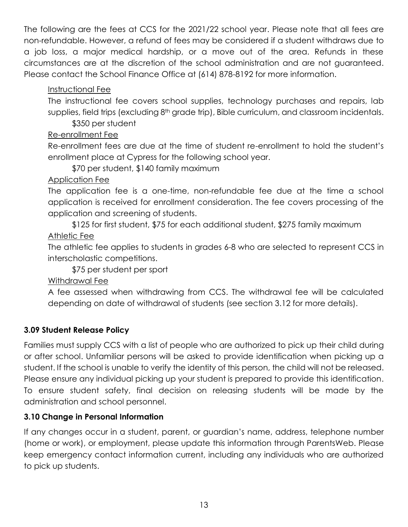The following are the fees at CCS for the 2021/22 school year. Please note that all fees are non-refundable. However, a refund of fees may be considered if a student withdraws due to a job loss, a major medical hardship, or a move out of the area. Refunds in these circumstances are at the discretion of the school administration and are not guaranteed. Please contact the School Finance Office at (614) 878-8192 for more information.

# Instructional Fee

The instructional fee covers school supplies, technology purchases and repairs, lab supplies, field trips (excluding 8<sup>th</sup> grade trip), Bible curriculum, and classroom incidentals.

\$350 per student

## Re-enrollment Fee

Re-enrollment fees are due at the time of student re-enrollment to hold the student's enrollment place at Cypress for the following school year.

\$70 per student, \$140 family maximum

## Application Fee

The application fee is a one-time, non-refundable fee due at the time a school application is received for enrollment consideration. The fee covers processing of the application and screening of students.

\$125 for first student, \$75 for each additional student, \$275 family maximum Athletic Fee

The athletic fee applies to students in grades 6-8 who are selected to represent CCS in interscholastic competitions.

\$75 per student per sport

Withdrawal Fee

A fee assessed when withdrawing from CCS. The withdrawal fee will be calculated depending on date of withdrawal of students (see section 3.12 for more details).

# <span id="page-12-0"></span>**3.09 Student Release Policy**

Families must supply CCS with a list of people who are authorized to pick up their child during or after school. Unfamiliar persons will be asked to provide identification when picking up a student. If the school is unable to verify the identity of this person, the child will not be released. Please ensure any individual picking up your student is prepared to provide this identification. To ensure student safety, final decision on releasing students will be made by the administration and school personnel.

# <span id="page-12-1"></span>**3.10 Change in Personal Information**

If any changes occur in a student, parent, or guardian's name, address, telephone number (home or work), or employment, please update this information through ParentsWeb. Please keep emergency contact information current, including any individuals who are authorized to pick up students.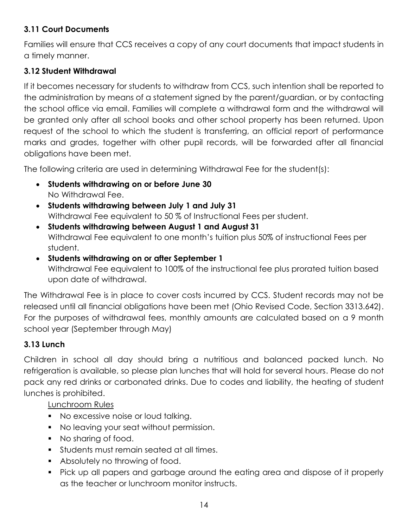# <span id="page-13-0"></span>**3.11 Court Documents**

Families will ensure that CCS receives a copy of any court documents that impact students in a timely manner.

#### <span id="page-13-1"></span>**3.12 Student Withdrawal**

If it becomes necessary for students to withdraw from CCS, such intention shall be reported to the administration by means of a statement signed by the parent/guardian, or by contacting the school office via email. Families will complete a withdrawal form and the withdrawal will be granted only after all school books and other school property has been returned. Upon request of the school to which the student is transferring, an official report of performance marks and grades, together with other pupil records, will be forwarded after all financial obligations have been met.

The following criteria are used in determining Withdrawal Fee for the student(s):

- **Students withdrawing on or before June 30** No Withdrawal Fee.
- **Students withdrawing between July 1 and July 31** Withdrawal Fee equivalent to 50 % of Instructional Fees per student.
- **Students withdrawing between August 1 and August 31** Withdrawal Fee equivalent to one month's tuition plus 50% of instructional Fees per student.
- **Students withdrawing on or after September 1** Withdrawal Fee equivalent to 100% of the instructional fee plus prorated tuition based upon date of withdrawal.

The Withdrawal Fee is in place to cover costs incurred by CCS. Student records may not be released until all financial obligations have been met (Ohio Revised Code, Section 3313.642). For the purposes of withdrawal fees, monthly amounts are calculated based on a 9 month school year (September through May)

#### <span id="page-13-2"></span>**3.13 Lunch**

Children in school all day should bring a nutritious and balanced packed lunch. No refrigeration is available, so please plan lunches that will hold for several hours. Please do not pack any red drinks or carbonated drinks. Due to codes and liability, the heating of student lunches is prohibited.

Lunchroom Rules

- No excessive noise or loud talking.
- No leaving your seat without permission.
- No sharing of food.
- **Students must remain seated at all times.**
- **Absolutely no throwing of food.**
- Pick up all papers and garbage around the eating area and dispose of it properly as the teacher or lunchroom monitor instructs.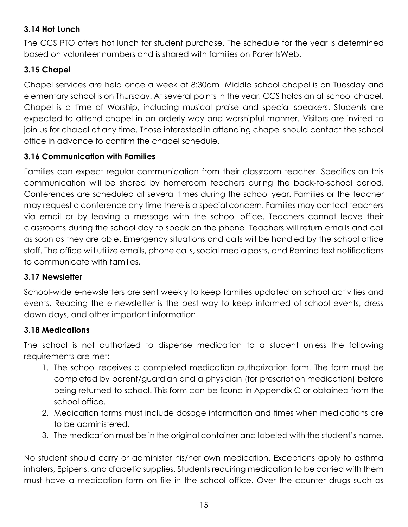# <span id="page-14-0"></span>**3.14 Hot Lunch**

The CCS PTO offers hot lunch for student purchase. The schedule for the year is determined based on volunteer numbers and is shared with families on ParentsWeb.

# <span id="page-14-1"></span>**3.15 Chapel**

Chapel services are held once a week at 8:30am. Middle school chapel is on Tuesday and elementary school is on Thursday. At several points in the year, CCS holds an all school chapel. Chapel is a time of Worship, including musical praise and special speakers. Students are expected to attend chapel in an orderly way and worshipful manner. Visitors are invited to join us for chapel at any time. Those interested in attending chapel should contact the school office in advance to confirm the chapel schedule.

## <span id="page-14-2"></span>**3.16 Communication with Families**

Families can expect regular communication from their classroom teacher. Specifics on this communication will be shared by homeroom teachers during the back-to-school period. Conferences are scheduled at several times during the school year. Families or the teacher may request a conference any time there is a special concern. Families may contact teachers via email or by leaving a message with the school office. Teachers cannot leave their classrooms during the school day to speak on the phone. Teachers will return emails and call as soon as they are able. Emergency situations and calls will be handled by the school office staff. The office will utilize emails, phone calls, social media posts, and Remind text notifications to communicate with families.

#### <span id="page-14-3"></span>**3.17 Newsletter**

School-wide e-newsletters are sent weekly to keep families updated on school activities and events. Reading the e-newsletter is the best way to keep informed of school events, dress down days, and other important information.

# <span id="page-14-4"></span>**3.18 Medications**

The school is not authorized to dispense medication to a student unless the following requirements are met:

- 1. The school receives a completed medication authorization form. The form must be completed by parent/guardian and a physician (for prescription medication) before being returned to school. This form can be found in Appendix C or obtained from the school office.
- 2. Medication forms must include dosage information and times when medications are to be administered.
- 3. The medication must be in the original container and labeled with the student's name.

No student should carry or administer his/her own medication. Exceptions apply to asthma inhalers, Epipens, and diabetic supplies. Students requiring medication to be carried with them must have a medication form on file in the school office. Over the counter drugs such as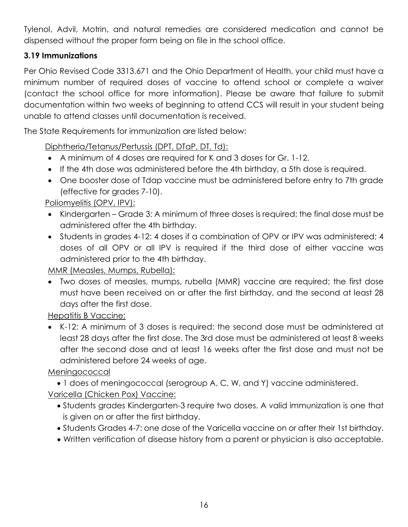Tylenol, Advil, Motrin, and natural remedies are considered medication and cannot be dispensed without the proper form being on file in the school office.

# <span id="page-15-0"></span>**3.19 Immunizations**

Per Ohio Revised Code 3313.671 and the Ohio Department of Health, your child must have a minimum number of required doses of vaccine to attend school or complete a waiver (contact the school office for more information). Please be aware that failure to submit documentation within two weeks of beginning to attend CCS will result in your student being unable to attend classes until documentation is received.

The State Requirements for immunization are listed below:

Diphtheria/Tetanus/Pertussis (DPT, DTaP, DT, Td):

- A minimum of 4 doses are required for K and 3 doses for Gr. 1-12.
- If the 4th dose was administered before the 4th birthday, a 5th dose is required.
- One booster dose of Tdap vaccine must be administered before entry to 7th grade (effective for grades 7-10).

Poliomyelitis (OPV, IPV):

- Kindergarten Grade 3: A minimum of three doses is required; the final dose must be administered after the 4th birthday.
- Students in grades 4-12: 4 doses if a combination of OPV or IPV was administered; 4 doses of all OPV or all IPV is required if the third dose of either vaccine was administered prior to the 4th birthday.

MMR (Measles, Mumps, Rubella):

 Two doses of measles, mumps, rubella (MMR) vaccine are required; the first dose must have been received on or after the first birthday, and the second at least 28 days after the first dose.

Hepatitis B Vaccine:

 K-12: A minimum of 3 doses is required: the second dose must be administered at least 28 days after the first dose. The 3rd dose must be administered at least 8 weeks after the second dose and at least 16 weeks after the first dose and must not be administered before 24 weeks of age.

Meningococcal

1 does of meningococcal (serogroup A, C, W, and Y) vaccine administered.

Varicella (Chicken Pox) Vaccine:

- Students grades Kindergarten-3 require two doses. A valid immunization is one that is given on or after the first birthday.
- Students Grades 4-7: one dose of the Varicella vaccine on or after their 1st birthday.
- Written verification of disease history from a parent or physician is also acceptable.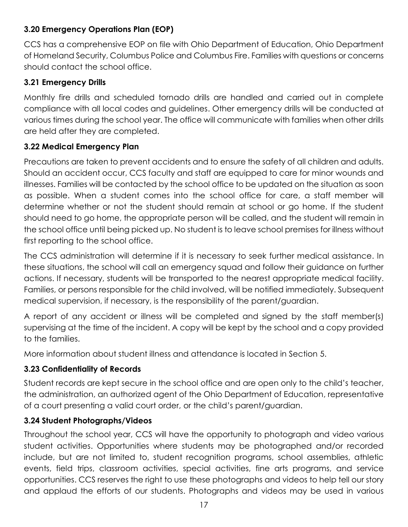# <span id="page-16-0"></span>**3.20 Emergency Operations Plan (EOP)**

CCS has a comprehensive EOP on file with Ohio Department of Education, Ohio Department of Homeland Security, Columbus Police and Columbus Fire. Families with questions or concerns should contact the school office.

#### <span id="page-16-1"></span>**3.21 Emergency Drills**

Monthly fire drills and scheduled tornado drills are handled and carried out in complete compliance with all local codes and guidelines. Other emergency drills will be conducted at various times during the school year. The office will communicate with families when other drills are held after they are completed.

#### <span id="page-16-2"></span>**3.22 Medical Emergency Plan**

Precautions are taken to prevent accidents and to ensure the safety of all children and adults. Should an accident occur, CCS faculty and staff are equipped to care for minor wounds and illnesses. Families will be contacted by the school office to be updated on the situation as soon as possible. When a student comes into the school office for care, a staff member will determine whether or not the student should remain at school or go home. If the student should need to go home, the appropriate person will be called, and the student will remain in the school office until being picked up. No student is to leave school premises for illness without first reporting to the school office.

The CCS administration will determine if it is necessary to seek further medical assistance. In these situations, the school will call an emergency squad and follow their guidance on further actions. If necessary, students will be transported to the nearest appropriate medical facility. Families, or persons responsible for the child involved, will be notified immediately. Subsequent medical supervision, if necessary, is the responsibility of the parent/guardian.

A report of any accident or illness will be completed and signed by the staff member(s) supervising at the time of the incident. A copy will be kept by the school and a copy provided to the families.

More information about student illness and attendance is located in Section 5.

# <span id="page-16-3"></span>**3.23 Confidentiality of Records**

Student records are kept secure in the school office and are open only to the child's teacher, the administration, an authorized agent of the Ohio Department of Education, representative of a court presenting a valid court order, or the child's parent/guardian.

# <span id="page-16-4"></span>**3.24 Student Photographs/Videos**

Throughout the school year, CCS will have the opportunity to photograph and video various student activities. Opportunities where students may be photographed and/or recorded include, but are not limited to, student recognition programs, school assemblies, athletic events, field trips, classroom activities, special activities, fine arts programs, and service opportunities. CCS reserves the right to use these photographs and videos to help tell our story and applaud the efforts of our students. Photographs and videos may be used in various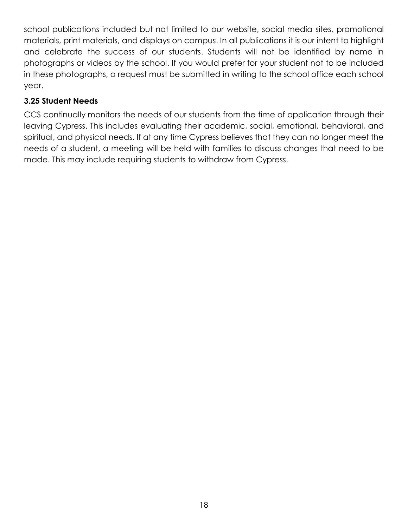school publications included but not limited to our website, social media sites, promotional materials, print materials, and displays on campus. In all publications it is our intent to highlight and celebrate the success of our students. Students will not be identified by name in photographs or videos by the school. If you would prefer for your student not to be included in these photographs, a request must be submitted in writing to the school office each school year.

## <span id="page-17-0"></span>**3.25 Student Needs**

CCS continually monitors the needs of our students from the time of application through their leaving Cypress. This includes evaluating their academic, social, emotional, behavioral, and spiritual, and physical needs. If at any time Cypress believes that they can no longer meet the needs of a student, a meeting will be held with families to discuss changes that need to be made. This may include requiring students to withdraw from Cypress.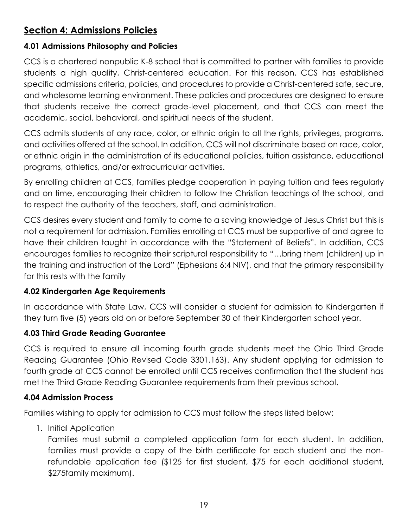# <span id="page-18-0"></span>**Section 4: Admissions Policies**

#### <span id="page-18-1"></span>**4.01 Admissions Philosophy and Policies**

CCS is a chartered nonpublic K-8 school that is committed to partner with families to provide students a high quality, Christ-centered education. For this reason, CCS has established specific admissions criteria, policies, and procedures to provide a Christ-centered safe, secure, and wholesome learning environment. These policies and procedures are designed to ensure that students receive the correct grade-level placement, and that CCS can meet the academic, social, behavioral, and spiritual needs of the student.

CCS admits students of any race, color, or ethnic origin to all the rights, privileges, programs, and activities offered at the school. In addition, CCS will not discriminate based on race, color, or ethnic origin in the administration of its educational policies, tuition assistance, educational programs, athletics, and/or extracurricular activities.

By enrolling children at CCS, families pledge cooperation in paying tuition and fees regularly and on time, encouraging their children to follow the Christian teachings of the school, and to respect the authority of the teachers, staff, and administration.

CCS desires every student and family to come to a saving knowledge of Jesus Christ but this is not a requirement for admission. Families enrolling at CCS must be supportive of and agree to have their children taught in accordance with the "Statement of Beliefs". In addition, CCS encourages families to recognize their scriptural responsibility to "…bring them (children) up in the training and instruction of the Lord" (Ephesians 6:4 NIV), and that the primary responsibility for this rests with the family

#### <span id="page-18-2"></span>**4.02 Kindergarten Age Requirements**

In accordance with State Law, CCS will consider a student for admission to Kindergarten if they turn five (5) years old on or before September 30 of their Kindergarten school year.

# <span id="page-18-3"></span>**4.03 Third Grade Reading Guarantee**

CCS is required to ensure all incoming fourth grade students meet the Ohio Third Grade Reading Guarantee (Ohio Revised Code 3301.163). Any student applying for admission to fourth grade at CCS cannot be enrolled until CCS receives confirmation that the student has met the Third Grade Reading Guarantee requirements from their previous school.

#### <span id="page-18-4"></span>**4.04 Admission Process**

Families wishing to apply for admission to CCS must follow the steps listed below:

1. Initial Application

Families must submit a completed application form for each student. In addition, families must provide a copy of the birth certificate for each student and the nonrefundable application fee (\$125 for first student, \$75 for each additional student, \$275family maximum).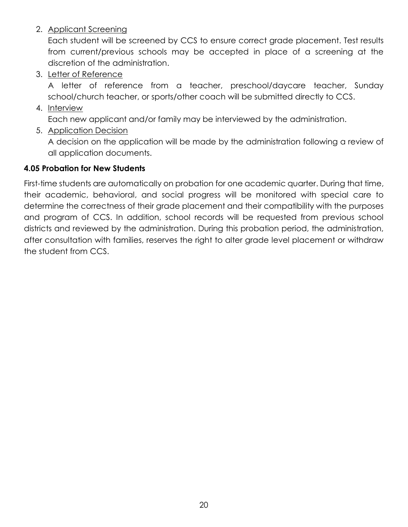2. Applicant Screening

Each student will be screened by CCS to ensure correct grade placement. Test results from current/previous schools may be accepted in place of a screening at the discretion of the administration.

3. Letter of Reference

A letter of reference from a teacher, preschool/daycare teacher, Sunday school/church teacher, or sports/other coach will be submitted directly to CCS.

4. Interview

Each new applicant and/or family may be interviewed by the administration.

5. Application Decision

A decision on the application will be made by the administration following a review of all application documents.

## <span id="page-19-0"></span>**4.05 Probation for New Students**

First-time students are automatically on probation for one academic quarter. During that time, their academic, behavioral, and social progress will be monitored with special care to determine the correctness of their grade placement and their compatibility with the purposes and program of CCS. In addition, school records will be requested from previous school districts and reviewed by the administration. During this probation period, the administration, after consultation with families, reserves the right to alter grade level placement or withdraw the student from CCS.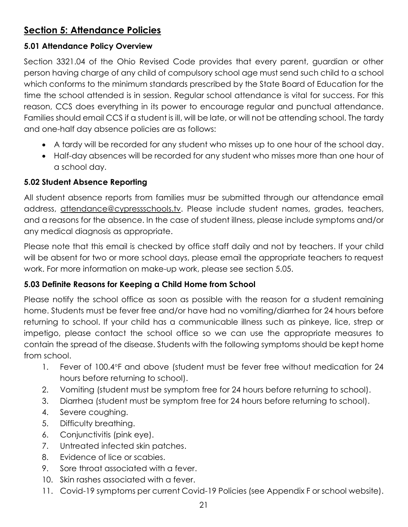# <span id="page-20-0"></span>**Section 5: Attendance Policies**

## <span id="page-20-1"></span>**5.01 Attendance Policy Overview**

Section 3321.04 of the Ohio Revised Code provides that every parent, guardian or other person having charge of any child of compulsory school age must send such child to a school which conforms to the minimum standards prescribed by the State Board of Education for the time the school attended is in session. Regular school attendance is vital for success. For this reason, CCS does everything in its power to encourage regular and punctual attendance. Families should email CCS if a student is ill, will be late, or will not be attending school. The tardy and one-half day absence policies are as follows:

- A tardy will be recorded for any student who misses up to one hour of the school day.
- Half-day absences will be recorded for any student who misses more than one hour of a school day.

## <span id="page-20-2"></span>**5.02 Student Absence Reporting**

All student absence reports from families musr be submitted through our attendance email address, attendance@cypressschools.tv. Please include student names, grades, teachers, and a reasons for the absence. In the case of student illness, please include symptoms and/or any medical diagnosis as appropriate.

Please note that this email is checked by office staff daily and not by teachers. If your child will be absent for two or more school days, please email the appropriate teachers to request work. For more information on make-up work, please see section 5.05.

# <span id="page-20-3"></span>**5.03 Definite Reasons for Keeping a Child Home from School**

Please notify the school office as soon as possible with the reason for a student remaining home. Students must be fever free and/or have had no vomiting/diarrhea for 24 hours before returning to school. If your child has a communicable illness such as pinkeye, lice, strep or impetigo, please contact the school office so we can use the appropriate measures to contain the spread of the disease. Students with the following symptoms should be kept home from school.

- 1. Fever of 100.4°F and above (student must be fever free without medication for 24 hours before returning to school).
- 2. Vomiting (student must be symptom free for 24 hours before returning to school).
- 3. Diarrhea (student must be symptom free for 24 hours before returning to school).
- 4. Severe coughing.
- 5. Difficulty breathing.
- 6. Conjunctivitis (pink eye).
- 7. Untreated infected skin patches.
- 8. Evidence of lice or scabies.
- 9. Sore throat associated with a fever.
- 10. Skin rashes associated with a fever.
- 11. Covid-19 symptoms per current Covid-19 Policies (see Appendix F or school website).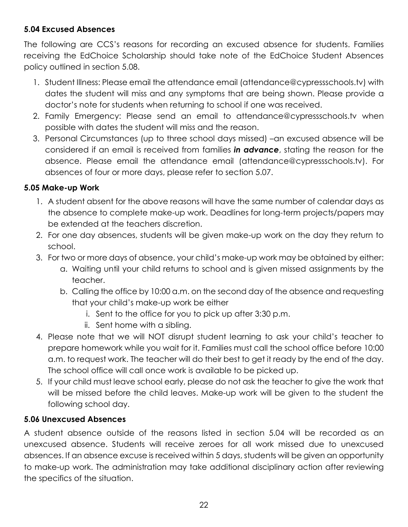# <span id="page-21-0"></span>**5.04 Excused Absences**

The following are CCS's reasons for recording an excused absence for students. Families receiving the EdChoice Scholarship should take note of the EdChoice Student Absences policy outlined in section 5.08.

- 1. Student Illness: Please email the attendance email (attendance@cypressschools.tv) with dates the student will miss and any symptoms that are being shown. Please provide a doctor's note for students when returning to school if one was received.
- 2. Family Emergency: Please send an email to attendance@cypressschools.tv when possible with dates the student will miss and the reason.
- 3. Personal Circumstances (up to three school days missed) –an excused absence will be considered if an email is received from families *in advance*, stating the reason for the absence. Please email the attendance email (attendance@cypressschools.tv). For absences of four or more days, please refer to section 5.07.

#### <span id="page-21-1"></span>**5.05 Make-up Work**

- 1. A student absent for the above reasons will have the same number of calendar days as the absence to complete make-up work. Deadlines for long-term projects/papers may be extended at the teachers discretion.
- 2. For one day absences, students will be given make-up work on the day they return to school.
- 3. For two or more days of absence, your child's make-up work may be obtained by either:
	- a. Waiting until your child returns to school and is given missed assignments by the teacher.
	- b. Calling the office by 10:00 a.m. on the second day of the absence and requesting that your child's make-up work be either
		- i. Sent to the office for you to pick up after 3:30 p.m.
		- ii. Sent home with a sibling.
- 4. Please note that we will NOT disrupt student learning to ask your child's teacher to prepare homework while you wait for it. Families must call the school office before 10:00 a.m. to request work. The teacher will do their best to get it ready by the end of the day. The school office will call once work is available to be picked up.
- 5. If your child must leave school early, please do not ask the teacher to give the work that will be missed before the child leaves. Make-up work will be given to the student the following school day.

#### <span id="page-21-2"></span>**5.06 Unexcused Absences**

A student absence outside of the reasons listed in section 5.04 will be recorded as an unexcused absence. Students will receive zeroes for all work missed due to unexcused absences. If an absence excuse is received within 5 days, students will be given an opportunity to make-up work. The administration may take additional disciplinary action after reviewing the specifics of the situation.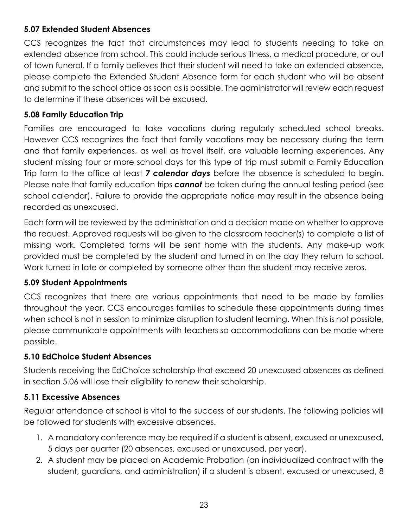#### <span id="page-22-0"></span>**5.07 Extended Student Absences**

CCS recognizes the fact that circumstances may lead to students needing to take an extended absence from school. This could include serious illness, a medical procedure, or out of town funeral. If a family believes that their student will need to take an extended absence, please complete the Extended Student Absence form for each student who will be absent and submit to the school office as soon as is possible. The administrator will review each request to determine if these absences will be excused.

#### <span id="page-22-1"></span>**5.08 Family Education Trip**

Families are encouraged to take vacations during regularly scheduled school breaks. However CCS recognizes the fact that family vacations may be necessary during the term and that family experiences, as well as travel itself, are valuable learning experiences. Any student missing four or more school days for this type of trip must submit a Family Education Trip form to the office at least *7 calendar days* before the absence is scheduled to begin. Please note that family education trips *cannot* be taken during the annual testing period (see school calendar). Failure to provide the appropriate notice may result in the absence being recorded as unexcused.

Each form will be reviewed by the administration and a decision made on whether to approve the request. Approved requests will be given to the classroom teacher(s) to complete a list of missing work. Completed forms will be sent home with the students. Any make-up work provided must be completed by the student and turned in on the day they return to school. Work turned in late or completed by someone other than the student may receive zeros.

#### <span id="page-22-2"></span>**5.09 Student Appointments**

CCS recognizes that there are various appointments that need to be made by families throughout the year. CCS encourages families to schedule these appointments during times when school is not in session to minimize disruption to student learning. When this is not possible, please communicate appointments with teachers so accommodations can be made where possible.

# <span id="page-22-3"></span>**5.10 EdChoice Student Absences**

Students receiving the EdChoice scholarship that exceed 20 unexcused absences as defined in section 5.06 will lose their eligibility to renew their scholarship.

#### <span id="page-22-4"></span>**5.11 Excessive Absences**

Regular attendance at school is vital to the success of our students. The following policies will be followed for students with excessive absences.

- 1. A mandatory conference may be required if a student is absent, excused or unexcused, 5 days per quarter (20 absences, excused or unexcused, per year).
- 2. A student may be placed on Academic Probation (an individualized contract with the student, guardians, and administration) if a student is absent, excused or unexcused, 8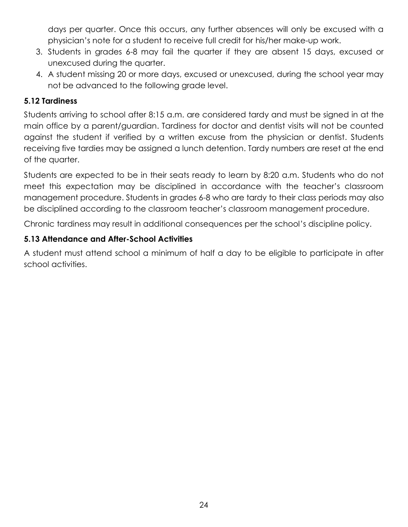days per quarter. Once this occurs, any further absences will only be excused with a physician's note for a student to receive full credit for his/her make-up work.

- 3. Students in grades 6-8 may fail the quarter if they are absent 15 days, excused or unexcused during the quarter.
- 4. A student missing 20 or more days, excused or unexcused, during the school year may not be advanced to the following grade level.

#### <span id="page-23-0"></span>**5.12 Tardiness**

Students arriving to school after 8:15 a.m. are considered tardy and must be signed in at the main office by a parent/guardian. Tardiness for doctor and dentist visits will not be counted against the student if verified by a written excuse from the physician or dentist. Students receiving five tardies may be assigned a lunch detention. Tardy numbers are reset at the end of the quarter.

Students are expected to be in their seats ready to learn by 8:20 a.m. Students who do not meet this expectation may be disciplined in accordance with the teacher's classroom management procedure. Students in grades 6-8 who are tardy to their class periods may also be disciplined according to the classroom teacher's classroom management procedure.

Chronic tardiness may result in additional consequences per the school's discipline policy.

## <span id="page-23-1"></span>**5.13 Attendance and After-School Activities**

A student must attend school a minimum of half a day to be eligible to participate in after school activities.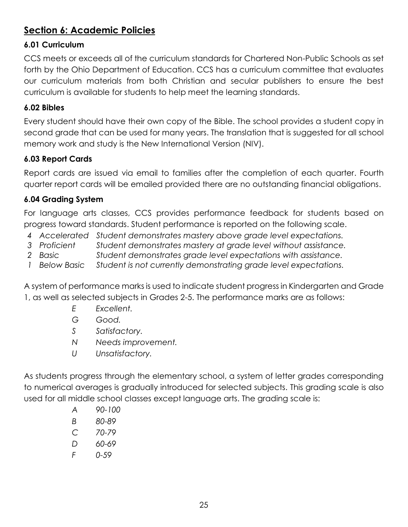# <span id="page-24-0"></span>**Section 6: Academic Policies**

# <span id="page-24-1"></span>**6.01 Curriculum**

CCS meets or exceeds all of the curriculum standards for Chartered Non-Public Schools as set forth by the Ohio Department of Education. CCS has a curriculum committee that evaluates our curriculum materials from both Christian and secular publishers to ensure the best curriculum is available for students to help meet the learning standards.

# <span id="page-24-2"></span>**6.02 Bibles**

Every student should have their own copy of the Bible. The school provides a student copy in second grade that can be used for many years. The translation that is suggested for all school memory work and study is the New International Version (NIV).

# <span id="page-24-3"></span>**6.03 Report Cards**

Report cards are issued via email to families after the completion of each quarter. Fourth quarter report cards will be emailed provided there are no outstanding financial obligations.

# <span id="page-24-4"></span>**6.04 Grading System**

For language arts classes, CCS provides performance feedback for students based on progress toward standards. Student performance is reported on the following scale.

- *4 Accelerated Student demonstrates mastery above grade level expectations.*
- *3 Proficient Student demonstrates mastery at grade level without assistance.*
- *2 Basic Student demonstrates grade level expectations with assistance.*
- *1 Below Basic Student is not currently demonstrating grade level expectations.*

A system of performance marks is used to indicate student progress in Kindergarten and Grade 1, as well as selected subjects in Grades 2-5. The performance marks are as follows:

- *E Excellent.*
- *G Good.*
- *S Satisfactory.*
- *N Needs improvement.*
- *U Unsatisfactory.*

As students progress through the elementary school, a system of letter grades corresponding to numerical averages is gradually introduced for selected subjects. This grading scale is also used for all middle school classes except language arts. The grading scale is:

- *A 90-100*
- *B 80-89*
- *C 70-79*
- *D 60-69*
- *F 0-59*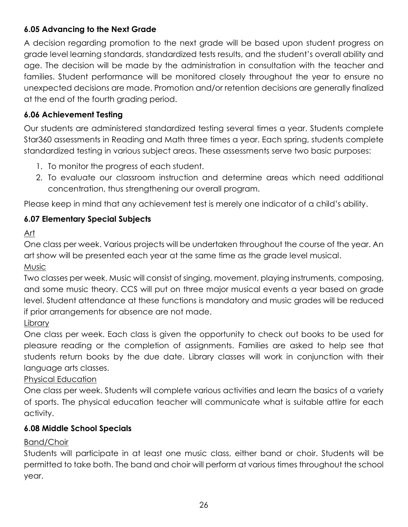# <span id="page-25-0"></span>**6.05 Advancing to the Next Grade**

A decision regarding promotion to the next grade will be based upon student progress on grade level learning standards, standardized tests results, and the student's overall ability and age. The decision will be made by the administration in consultation with the teacher and families. Student performance will be monitored closely throughout the year to ensure no unexpected decisions are made. Promotion and/or retention decisions are generally finalized at the end of the fourth grading period.

# <span id="page-25-1"></span>**6.06 Achievement Testing**

Our students are administered standardized testing several times a year. Students complete Star360 assessments in Reading and Math three times a year. Each spring, students complete standardized testing in various subject areas. These assessments serve two basic purposes:

- 1. To monitor the progress of each student.
- 2. To evaluate our classroom instruction and determine areas which need additional concentration, thus strengthening our overall program.

Please keep in mind that any achievement test is merely one indicator of a child's ability.

# <span id="page-25-2"></span>**6.07 Elementary Special Subjects**

Art

One class per week. Various projects will be undertaken throughout the course of the year. An art show will be presented each year at the same time as the grade level musical. Music

Two classes per week. Music will consist of singing, movement, playing instruments, composing, and some music theory. CCS will put on three major musical events a year based on grade level. Student attendance at these functions is mandatory and music grades will be reduced if prior arrangements for absence are not made.

Library

One class per week. Each class is given the opportunity to check out books to be used for pleasure reading or the completion of assignments. Families are asked to help see that students return books by the due date. Library classes will work in conjunction with their language arts classes.

#### Physical Education

One class per week. Students will complete various activities and learn the basics of a variety of sports. The physical education teacher will communicate what is suitable attire for each activity.

# <span id="page-25-3"></span>**6.08 Middle School Specials**

# Band/Choir

Students will participate in at least one music class, either band or choir. Students will be permitted to take both. The band and choir will perform at various times throughout the school year.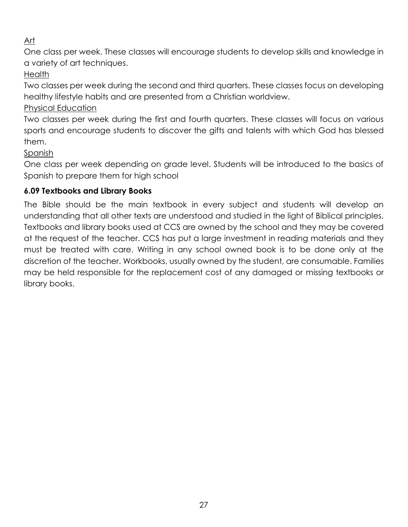# Art

One class per week. These classes will encourage students to develop skills and knowledge in a variety of art techniques.

Health

Two classes per week during the second and third quarters. These classes focus on developing healthy lifestyle habits and are presented from a Christian worldview.

Physical Education

Two classes per week during the first and fourth quarters. These classes will focus on various sports and encourage students to discover the gifts and talents with which God has blessed them.

Spanish

One class per week depending on grade level. Students will be introduced to the basics of Spanish to prepare them for high school

# <span id="page-26-0"></span>**6.09 Textbooks and Library Books**

The Bible should be the main textbook in every subject and students will develop an understanding that all other texts are understood and studied in the light of Biblical principles. Textbooks and library books used at CCS are owned by the school and they may be covered at the request of the teacher. CCS has put a large investment in reading materials and they must be treated with care. Writing in any school owned book is to be done only at the discretion of the teacher. Workbooks, usually owned by the student, are consumable. Families may be held responsible for the replacement cost of any damaged or missing textbooks or library books.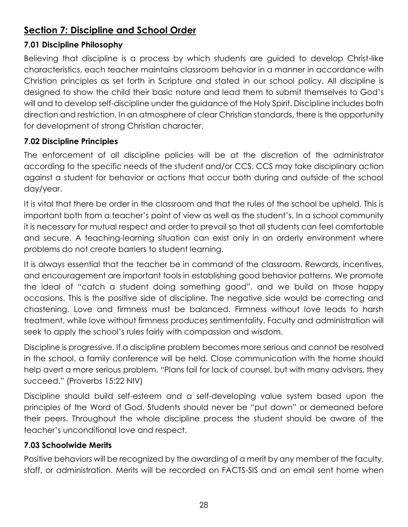# <span id="page-27-0"></span>**Section 7: Discipline and School Order**

# <span id="page-27-1"></span>**7.01 Discipline Philosophy**

Believing that discipline is a process by which students are guided to develop Christ-like characteristics, each teacher maintains classroom behavior in a manner in accordance with Christian principles as set forth in Scripture and stated in our school policy. All discipline is designed to show the child their basic nature and lead them to submit themselves to God's will and to develop self-discipline under the guidance of the Holy Spirit. Discipline includes both direction and restriction. In an atmosphere of clear Christian standards, there is the opportunity for development of strong Christian character.

# <span id="page-27-2"></span>**7.02 Discipline Principles**

The enforcement of all discipline policies will be at the discretion of the administrator according to the specific needs of the student and/or CCS. CCS may take disciplinary action against a student for behavior or actions that occur both during and outside of the school day/year.

It is vital that there be order in the classroom and that the rules of the school be upheld. This is important both from a teacher's point of view as well as the student's. In a school community it is necessary for mutual respect and order to prevail so that all students can feel comfortable and secure. A teaching-learning situation can exist only in an orderly environment where problems do not create barriers to student learning.

It is always essential that the teacher be in command of the classroom. Rewards, incentives, and encouragement are important tools in establishing good behavior patterns. We promote the ideal of "catch a student doing something good", and we build on those happy occasions. This is the positive side of discipline. The negative side would be correcting and chastening. Love and firmness must be balanced. Firmness without love leads to harsh treatment, while love without firmness produces sentimentality. Faculty and administration will seek to apply the school's rules fairly with compassion and wisdom.

Discipline is progressive. If a discipline problem becomes more serious and cannot be resolved in the school, a family conference will be held. Close communication with the home should help avert a more serious problem. "Plans fail for lack of counsel, but with many advisors, they succeed." (Proverbs 15:22 NIV)

Discipline should build self-esteem and a self-developing value system based upon the principles of the Word of God. Students should never be "put down" or demeaned before their peers. Throughout the whole discipline process the student should be aware of the teacher's unconditional love and respect.

# <span id="page-27-3"></span>**7.03 Schoolwide Merits**

Positive behaviors will be recognized by the awarding of a merit by any member of the faculty, staff, or administration. Merits will be recorded on FACTS-SIS and an email sent home when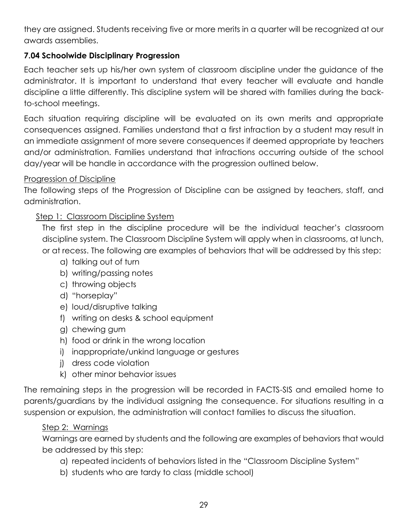they are assigned. Students receiving five or more merits in a quarter will be recognized at our awards assemblies.

#### <span id="page-28-0"></span>**7.04 Schoolwide Disciplinary Progression**

Each teacher sets up his/her own system of classroom discipline under the guidance of the administrator. It is important to understand that every teacher will evaluate and handle discipline a little differently. This discipline system will be shared with families during the backto-school meetings.

Each situation requiring discipline will be evaluated on its own merits and appropriate consequences assigned. Families understand that a first infraction by a student may result in an immediate assignment of more severe consequences if deemed appropriate by teachers and/or administration. Families understand that infractions occurring outside of the school day/year will be handle in accordance with the progression outlined below.

#### Progression of Discipline

The following steps of the Progression of Discipline can be assigned by teachers, staff, and administration.

## Step 1: Classroom Discipline System

The first step in the discipline procedure will be the individual teacher's classroom discipline system. The Classroom Discipline System will apply when in classrooms, at lunch, or at recess. The following are examples of behaviors that will be addressed by this step:

- a) talking out of turn
- b) writing/passing notes
- c) throwing objects
- d) "horseplay"
- e) loud/disruptive talking
- f) writing on desks & school equipment
- g) chewing gum
- h) food or drink in the wrong location
- i) inappropriate/unkind language or gestures
- j) dress code violation
- k) other minor behavior issues

The remaining steps in the progression will be recorded in FACTS-SIS and emailed home to parents/guardians by the individual assigning the consequence. For situations resulting in a suspension or expulsion, the administration will contact families to discuss the situation.

#### Step 2: Warnings

Warnings are earned by students and the following are examples of behaviors that would be addressed by this step:

- a) repeated incidents of behaviors listed in the "Classroom Discipline System"
- b) students who are tardy to class (middle school)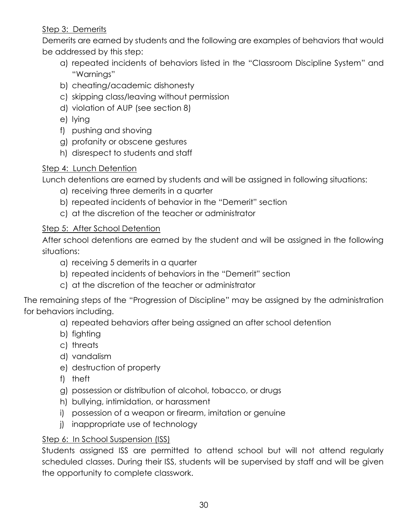## Step 3: Demerits

Demerits are earned by students and the following are examples of behaviors that would be addressed by this step:

- a) repeated incidents of behaviors listed in the "Classroom Discipline System" and "Warnings"
- b) cheating/academic dishonesty
- c) skipping class/leaving without permission
- d) violation of AUP (see section 8)
- e) lying
- f) pushing and shoving
- g) profanity or obscene gestures
- h) disrespect to students and staff

## Step 4: Lunch Detention

Lunch detentions are earned by students and will be assigned in following situations:

- a) receiving three demerits in a quarter
- b) repeated incidents of behavior in the "Demerit" section
- c) at the discretion of the teacher or administrator

## Step 5: After School Detention

After school detentions are earned by the student and will be assigned in the following situations:

- a) receiving 5 demerits in a quarter
- b) repeated incidents of behaviors in the "Demerit" section
- c) at the discretion of the teacher or administrator

The remaining steps of the "Progression of Discipline" may be assigned by the administration for behaviors including.

- a) repeated behaviors after being assigned an after school detention
- b) fighting
- c) threats
- d) vandalism
- e) destruction of property
- f) theft
- g) possession or distribution of alcohol, tobacco, or drugs
- h) bullying, intimidation, or harassment
- i) possession of a weapon or firearm, imitation or genuine
- j) inappropriate use of technology

# Step 6: In School Suspension (ISS)

Students assigned ISS are permitted to attend school but will not attend regularly scheduled classes. During their ISS, students will be supervised by staff and will be given the opportunity to complete classwork.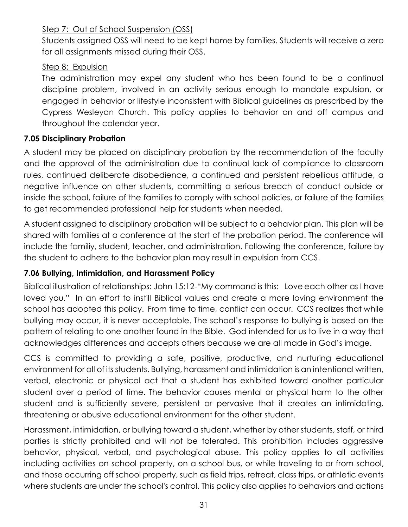# Step 7: Out of School Suspension (OSS)

Students assigned OSS will need to be kept home by families. Students will receive a zero for all assignments missed during their OSS.

#### Step 8: Expulsion

The administration may expel any student who has been found to be a continual discipline problem, involved in an activity serious enough to mandate expulsion, or engaged in behavior or lifestyle inconsistent with Biblical guidelines as prescribed by the Cypress Wesleyan Church. This policy applies to behavior on and off campus and throughout the calendar year.

#### <span id="page-30-0"></span>**7.05 Disciplinary Probation**

A student may be placed on disciplinary probation by the recommendation of the faculty and the approval of the administration due to continual lack of compliance to classroom rules, continued deliberate disobedience, a continued and persistent rebellious attitude, a negative influence on other students, committing a serious breach of conduct outside or inside the school, failure of the families to comply with school policies, or failure of the families to get recommended professional help for students when needed.

A student assigned to disciplinary probation will be subject to a behavior plan. This plan will be shared with families at a conference at the start of the probation period. The conference will include the familiy, student, teacher, and administration. Following the conference, failure by the student to adhere to the behavior plan may result in expulsion from CCS.

#### <span id="page-30-1"></span>**7.06 Bullying, Intimidation, and Harassment Policy**

Biblical illustration of relationships: John 15:12-"My command is this: Love each other as I have loved you." In an effort to instill Biblical values and create a more loving environment the school has adopted this policy. From time to time, conflict can occur. CCS realizes that while bullying may occur, it is never acceptable. The school's response to bullying is based on the pattern of relating to one another found in the Bible. God intended for us to live in a way that acknowledges differences and accepts others because we are all made in God's image.

CCS is committed to providing a safe, positive, productive, and nurturing educational environment for all of its students. Bullying, harassment and intimidation is an intentional written, verbal, electronic or physical act that a student has exhibited toward another particular student over a period of time. The behavior causes mental or physical harm to the other student and is sufficiently severe, persistent or pervasive that it creates an intimidating, threatening or abusive educational environment for the other student.

Harassment, intimidation, or bullying toward a student, whether by other students, staff, or third parties is strictly prohibited and will not be tolerated. This prohibition includes aggressive behavior, physical, verbal, and psychological abuse. This policy applies to all activities including activities on school property, on a school bus, or while traveling to or from school, and those occurring off school property, such as field trips, retreat, class trips, or athletic events where students are under the school's control. This policy also applies to behaviors and actions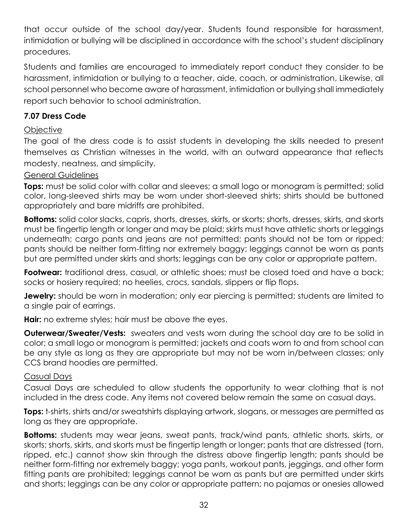that occur outside of the school day/year. Students found responsible for harassment, intimidation or bullying will be disciplined in accordance with the school's student disciplinary procedures.

Students and families are encouraged to immediately report conduct they consider to be harassment, intimidation or bullying to a teacher, aide, coach, or administration, Likewise, all school personnel who become aware of harassment, intimidation or bullying shall immediately report such behavior to school administration.

## <span id="page-31-0"></span>**7.07 Dress Code**

## **Objective**

The goal of the dress code is to assist students in developing the skills needed to present themselves as Christian witnesses in the world, with an outward appearance that reflects modesty, neatness, and simplicity.

#### General Guidelines

**Tops:** must be solid color with collar and sleeves; a small logo or monogram is permitted; solid color, long-sleeved shirts may be worn under short-sleeved shirts; shirts should be buttoned appropriately and bare midriffs are prohibited.

**Bottoms:** solid color slacks, capris, shorts, dresses, skirts, or skorts; shorts, dresses, skirts, and skorts must be fingertip length or longer and may be plaid; skirts must have athletic shorts or leggings underneath; cargo pants and jeans are not permitted; pants should not be torn or ripped; pants should be neither form-fitting nor extremely baggy; leggings cannot be worn as pants but are permitted under skirts and shorts; leggings can be any color or appropriate pattern.

**Footwear:** traditional dress, casual, or athletic shoes; must be closed toed and have a back; socks or hosiery required; no heelies, crocs, sandals, slippers or flip flops.

**Jewelry:** should be worn in moderation; only ear piercing is permitted; students are limited to a single pair of earrings.

**Hair:** no extreme styles; hair must be above the eyes.

**Outerwear/Sweater/Vests:** sweaters and vests worn during the school day are to be solid in color; a small logo or monogram is permitted; jackets and coats worn to and from school can be any style as long as they are appropriate but may not be worn in/between classes; only CCS brand hoodies are permitted.

#### Casual Days

Casual Days are scheduled to allow students the opportunity to wear clothing that is not included in the dress code. Any items not covered below remain the same on casual days.

**Tops:** t-shirts, shirts and/or sweatshirts displaying artwork, slogans, or messages are permitted as long as they are appropriate.

**Bottoms:** students may wear jeans, sweat pants, track/wind pants, athletic shorts, skirts, or skorts; shorts, skirts, and skorts must be fingertip length or longer; pants that are distressed (torn, ripped, etc.) cannot show skin through the distress above fingertip length; pants should be neither form-fitting nor extremely baggy; yoga pants, workout pants, jeggings, and other form fitting pants are prohibited; leggings cannot be worn as pants but are permitted under skirts and shorts; leggings can be any color or appropriate pattern; no pajamas or onesies allowed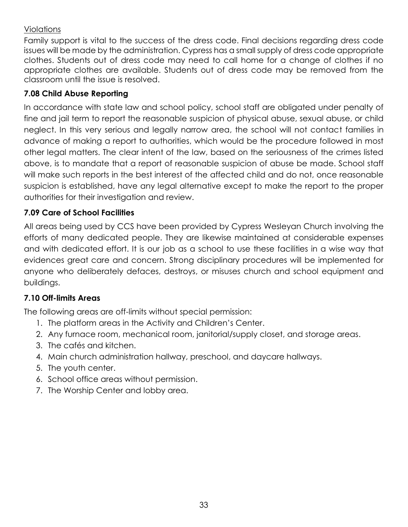#### Violations

Family support is vital to the success of the dress code. Final decisions regarding dress code issues will be made by the administration. Cypress has a small supply of dress code appropriate clothes. Students out of dress code may need to call home for a change of clothes if no appropriate clothes are available. Students out of dress code may be removed from the classroom until the issue is resolved.

# <span id="page-32-0"></span>**7.08 Child Abuse Reporting**

In accordance with state law and school policy, school staff are obligated under penalty of fine and jail term to report the reasonable suspicion of physical abuse, sexual abuse, or child neglect. In this very serious and legally narrow area, the school will not contact families in advance of making a report to authorities, which would be the procedure followed in most other legal matters. The clear intent of the law, based on the seriousness of the crimes listed above, is to mandate that a report of reasonable suspicion of abuse be made. School staff will make such reports in the best interest of the affected child and do not, once reasonable suspicion is established, have any legal alternative except to make the report to the proper authorities for their investigation and review.

# <span id="page-32-1"></span>**7.09 Care of School Facilities**

All areas being used by CCS have been provided by Cypress Wesleyan Church involving the efforts of many dedicated people. They are likewise maintained at considerable expenses and with dedicated effort. It is our job as a school to use these facilities in a wise way that evidences great care and concern. Strong disciplinary procedures will be implemented for anyone who deliberately defaces, destroys, or misuses church and school equipment and buildings.

# <span id="page-32-2"></span>**7.10 Off-limits Areas**

The following areas are off-limits without special permission:

- 1. The platform areas in the Activity and Children's Center.
- 2. Any furnace room, mechanical room, janitorial/supply closet, and storage areas.
- 3. The cafés and kitchen.
- 4. Main church administration hallway, preschool, and daycare hallways.
- 5. The youth center.
- 6. School office areas without permission.
- 7. The Worship Center and lobby area.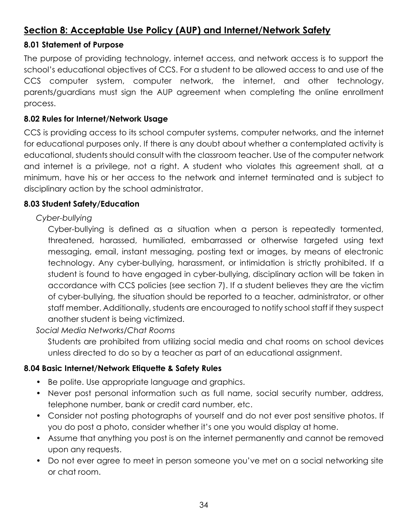# <span id="page-33-0"></span>**Section 8: Acceptable Use Policy (AUP) and Internet/Network Safety**

#### <span id="page-33-1"></span>**8.01 Statement of Purpose**

The purpose of providing technology, internet access, and network access is to support the school's educational objectives of CCS. For a student to be allowed access to and use of the CCS computer system, computer network, the internet, and other technology, parents/guardians must sign the AUP agreement when completing the online enrollment process.

#### <span id="page-33-2"></span>**8.02 Rules for Internet/Network Usage**

CCS is providing access to its school computer systems, computer networks, and the internet for educational purposes only. If there is any doubt about whether a contemplated activity is educational, students should consult with the classroom teacher. Use of the computer network and internet is a privilege, not a right. A student who violates this agreement shall, at a minimum, have his or her access to the network and internet terminated and is subject to disciplinary action by the school administrator.

## <span id="page-33-3"></span>**8.03 Student Safety/Education**

## *Cyber-bullying*

Cyber-bullying is defined as a situation when a person is repeatedly tormented, threatened, harassed, humiliated, embarrassed or otherwise targeted using text messaging, email, instant messaging, posting text or images, by means of electronic technology. Any cyber-bullying, harassment, or intimidation is strictly prohibited. If a student is found to have engaged in cyber-bullying, disciplinary action will be taken in accordance with CCS policies (see section 7). If a student believes they are the victim of cyber-bullying, the situation should be reported to a teacher, administrator, or other staff member. Additionally, students are encouraged to notify school staff if they suspect another student is being victimized.

#### *Social Media Networks/Chat Rooms*

Students are prohibited from utilizing social media and chat rooms on school devices unless directed to do so by a teacher as part of an educational assignment.

#### <span id="page-33-4"></span>**8.04 Basic Internet/Network Etiquette & Safety Rules**

- Be polite. Use appropriate language and graphics.
- Never post personal information such as full name, social security number, address, telephone number, bank or credit card number, etc.
- Consider not posting photographs of yourself and do not ever post sensitive photos. If you do post a photo, consider whether it's one you would display at home.
- Assume that anything you post is on the internet permanently and cannot be removed upon any requests.
- Do not ever agree to meet in person someone you've met on a social networking site or chat room.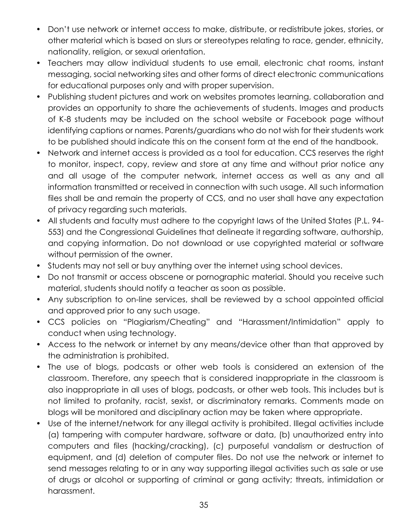- Don't use network or internet access to make, distribute, or redistribute jokes, stories, or other material which is based on slurs or stereotypes relating to race, gender, ethnicity, nationality, religion, or sexual orientation.
- Teachers may allow individual students to use email, electronic chat rooms, instant messaging, social networking sites and other forms of direct electronic communications for educational purposes only and with proper supervision.
- Publishing student pictures and work on websites promotes learning, collaboration and provides an opportunity to share the achievements of students. Images and products of K-8 students may be included on the school website or Facebook page without identifying captions or names. Parents/guardians who do not wish for their students work to be published should indicate this on the consent form at the end of the handbook.
- Network and internet access is provided as a tool for education. CCS reserves the right to monitor, inspect, copy, review and store at any time and without prior notice any and all usage of the computer network, internet access as well as any and all information transmitted or received in connection with such usage. All such information files shall be and remain the property of CCS, and no user shall have any expectation of privacy regarding such materials.
- All students and faculty must adhere to the copyright laws of the United States (P.L. 94- 553) and the Congressional Guidelines that delineate it regarding software, authorship, and copying information. Do not download or use copyrighted material or software without permission of the owner.
- Students may not sell or buy anything over the internet using school devices.
- Do not transmit or access obscene or pornographic material. Should you receive such material, students should notify a teacher as soon as possible.
- Any subscription to on-line services, shall be reviewed by a school appointed official and approved prior to any such usage.
- CCS policies on "Plagiarism/Cheating" and "Harassment/Intimidation" apply to conduct when using technology.
- Access to the network or internet by any means/device other than that approved by the administration is prohibited.
- The use of blogs, podcasts or other web tools is considered an extension of the classroom. Therefore, any speech that is considered inappropriate in the classroom is also inappropriate in all uses of blogs, podcasts, or other web tools. This includes but is not limited to profanity, racist, sexist, or discriminatory remarks. Comments made on blogs will be monitored and disciplinary action may be taken where appropriate.
- Use of the internet/network for any illegal activity is prohibited. Illegal activities include (a) tampering with computer hardware, software or data, (b) unauthorized entry into computers and files (hacking/cracking), (c) purposeful vandalism or destruction of equipment, and (d) deletion of computer files. Do not use the network or internet to send messages relating to or in any way supporting illegal activities such as sale or use of drugs or alcohol or supporting of criminal or gang activity; threats, intimidation or harassment.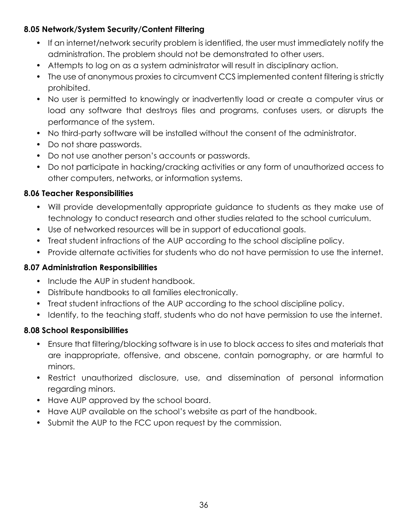## <span id="page-35-0"></span>**8.05 Network/System Security/Content Filtering**

- If an internet/network security problem is identified, the user must immediately notify the administration. The problem should not be demonstrated to other users.
- Attempts to log on as a system administrator will result in disciplinary action.
- The use of anonymous proxies to circumvent CCS implemented content filtering is strictly prohibited.
- No user is permitted to knowingly or inadvertently load or create a computer virus or load any software that destroys files and programs, confuses users, or disrupts the performance of the system.
- No third-party software will be installed without the consent of the administrator.
- Do not share passwords.
- Do not use another person's accounts or passwords.
- Do not participate in hacking/cracking activities or any form of unauthorized access to other computers, networks, or information systems.

## <span id="page-35-1"></span>**8.06 Teacher Responsibilities**

- Will provide developmentally appropriate guidance to students as they make use of technology to conduct research and other studies related to the school curriculum.
- Use of networked resources will be in support of educational goals.
- Treat student infractions of the AUP according to the school discipline policy.
- Provide alternate activities for students who do not have permission to use the internet.

#### <span id="page-35-2"></span>**8.07 Administration Responsibilities**

- Include the AUP in student handbook.
- Distribute handbooks to all families electronically.
- Treat student infractions of the AUP according to the school discipline policy.
- Identify, to the teaching staff, students who do not have permission to use the internet.

# <span id="page-35-3"></span>**8.08 School Responsibilities**

- Ensure that filtering/blocking software is in use to block access to sites and materials that are inappropriate, offensive, and obscene, contain pornography, or are harmful to minors.
- Restrict unauthorized disclosure, use, and dissemination of personal information regarding minors.
- Have AUP approved by the school board.
- Have AUP available on the school's website as part of the handbook.
- Submit the AUP to the FCC upon request by the commission.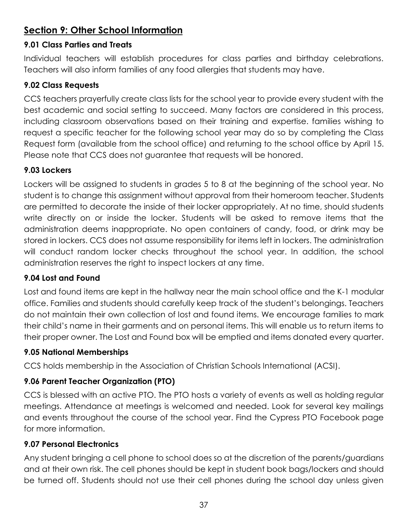# <span id="page-36-0"></span>**Section 9: Other School Information**

## <span id="page-36-1"></span>**9.01 Class Parties and Treats**

Individual teachers will establish procedures for class parties and birthday celebrations. Teachers will also inform families of any food allergies that students may have.

## <span id="page-36-2"></span>**9.02 Class Requests**

CCS teachers prayerfully create class lists for the school year to provide every student with the best academic and social setting to succeed. Many factors are considered in this process, including classroom observations based on their training and expertise. families wishing to request a specific teacher for the following school year may do so by completing the Class Request form (available from the school office) and returning to the school office by April 15. Please note that CCS does not guarantee that requests will be honored.

# <span id="page-36-3"></span>**9.03 Lockers**

Lockers will be assigned to students in grades 5 to 8 at the beginning of the school year. No student is to change this assignment without approval from their homeroom teacher. Students are permitted to decorate the inside of their locker appropriately. At no time, should students write directly on or inside the locker. Students will be asked to remove items that the administration deems inappropriate. No open containers of candy, food, or drink may be stored in lockers. CCS does not assume responsibility for items left in lockers. The administration will conduct random locker checks throughout the school year. In addition, the school administration reserves the right to inspect lockers at any time.

# <span id="page-36-4"></span>**9.04 Lost and Found**

Lost and found items are kept in the hallway near the main school office and the K-1 modular office. Families and students should carefully keep track of the student's belongings. Teachers do not maintain their own collection of lost and found items. We encourage families to mark their child's name in their garments and on personal items. This will enable us to return items to their proper owner. The Lost and Found box will be emptied and items donated every quarter.

# <span id="page-36-5"></span>**9.05 National Memberships**

CCS holds membership in the Association of Christian Schools International (ACSI).

# <span id="page-36-6"></span>**9.06 Parent Teacher Organization (PTO)**

CCS is blessed with an active PTO. The PTO hosts a variety of events as well as holding regular meetings. Attendance at meetings is welcomed and needed. Look for several key mailings and events throughout the course of the school year. Find the Cypress PTO Facebook page for more information.

# <span id="page-36-7"></span>**9.07 Personal Electronics**

Any student bringing a cell phone to school does so at the discretion of the parents/guardians and at their own risk. The cell phones should be kept in student book bags/lockers and should be turned off. Students should not use their cell phones during the school day unless given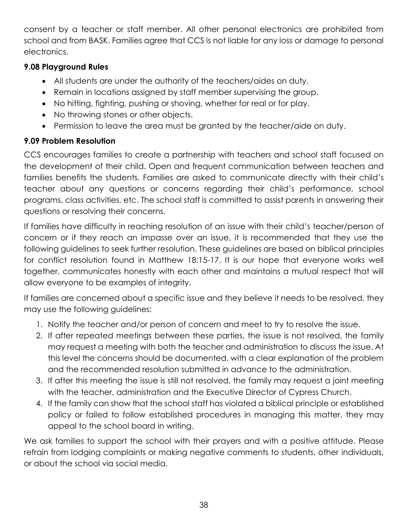consent by a teacher or staff member. All other personal electronics are prohibited from school and from BASK. Families agree that CCS is not liable for any loss or damage to personal electronics.

# <span id="page-37-0"></span>**9.08 Playground Rules**

- All students are under the authority of the teachers/aides on duty.
- Remain in locations assigned by staff member supervising the group.
- No hitting, fighting, pushing or shoving, whether for real or for play.
- No throwing stones or other objects.
- Permission to leave the area must be granted by the teacher/aide on duty.

# <span id="page-37-1"></span>**9.09 Problem Resolution**

CCS encourages families to create a partnership with teachers and school staff focused on the development of their child. Open and frequent communication between teachers and families benefits the students. Families are asked to communicate directly with their child's teacher about any questions or concerns regarding their child's performance, school programs, class activities, etc. The school staff is committed to assist parents in answering their questions or resolving their concerns.

If families have difficulty in reaching resolution of an issue with their child's teacher/person of concern or if they reach an impasse over an issue, it is recommended that they use the following guidelines to seek further resolution. These guidelines are based on biblical principles for conflict resolution found in Matthew 18:15-17. It is our hope that everyone works well together, communicates honestly with each other and maintains a mutual respect that will allow everyone to be examples of integrity.

If families are concerned about a specific issue and they believe it needs to be resolved, they may use the following guidelines:

- 1. Notify the teacher and/or person of concern and meet to try to resolve the issue.
- 2. If after repeated meetings between these parties, the issue is not resolved, the family may request a meeting with both the teacher and administration to discuss the issue. At this level the concerns should be documented, with a clear explanation of the problem and the recommended resolution submitted in advance to the administration.
- 3. If after this meeting the issue is still not resolved, the family may request a joint meeting with the teacher, administration and the Executive Director of Cypress Church.
- 4. If the family can show that the school staff has violated a biblical principle or established policy or failed to follow established procedures in managing this matter, they may appeal to the school board in writing.

We ask families to support the school with their prayers and with a positive attitude. Please refrain from lodging complaints or making negative comments to students, other individuals, or about the school via social media.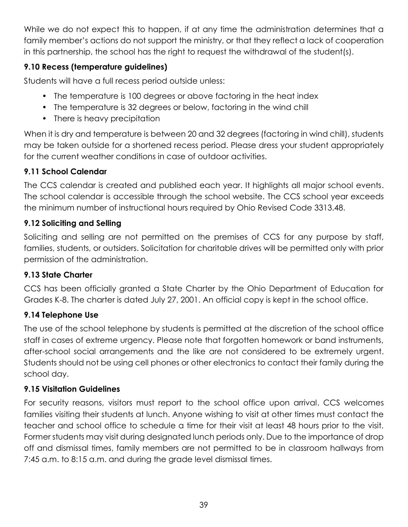While we do not expect this to happen, if at any time the administration determines that a family member's actions do not support the ministry, or that they reflect a lack of cooperation in this partnership, the school has the right to request the withdrawal of the student(s).

# <span id="page-38-0"></span>**9.10 Recess (temperature guidelines)**

Students will have a full recess period outside unless:

- The temperature is 100 degrees or above factoring in the heat index
- The temperature is 32 degrees or below, factoring in the wind chill
- There is heavy precipitation

When it is dry and temperature is between 20 and 32 degrees (factoring in wind chill), students may be taken outside for a shortened recess period. Please dress your student appropriately for the current weather conditions in case of outdoor activities.

# <span id="page-38-1"></span>**9.11 School Calendar**

The CCS calendar is created and published each year. It highlights all major school events. The school calendar is accessible through the school website. The CCS school year exceeds the minimum number of instructional hours required by Ohio Revised Code 3313.48.

# <span id="page-38-2"></span>**9.12 Soliciting and Selling**

Soliciting and selling are not permitted on the premises of CCS for any purpose by staff, families, students, or outsiders. Solicitation for charitable drives will be permitted only with prior permission of the administration.

# <span id="page-38-3"></span>**9.13 State Charter**

CCS has been officially granted a State Charter by the Ohio Department of Education for Grades K-8. The charter is dated July 27, 2001. An official copy is kept in the school office.

# <span id="page-38-4"></span>**9.14 Telephone Use**

The use of the school telephone by students is permitted at the discretion of the school office staff in cases of extreme urgency. Please note that forgotten homework or band instruments, after-school social arrangements and the like are not considered to be extremely urgent. Students should not be using cell phones or other electronics to contact their family during the school day.

# <span id="page-38-5"></span>**9.15 Visitation Guidelines**

For security reasons, visitors must report to the school office upon arrival. CCS welcomes families visiting their students at lunch. Anyone wishing to visit at other times must contact the teacher and school office to schedule a time for their visit at least 48 hours prior to the visit. Former students may visit during designated lunch periods only. Due to the importance of drop off and dismissal times, family members are not permitted to be in classroom hallways from 7:45 a.m. to 8:15 a.m. and during the grade level dismissal times.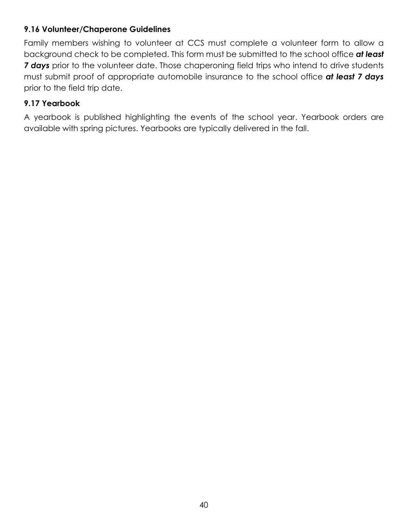#### <span id="page-39-0"></span>**9.16 Volunteer/Chaperone Guidelines**

Family members wishing to volunteer at CCS must complete a volunteer form to allow a background check to be completed. This form must be submitted to the school office *at least 7 days* prior to the volunteer date. Those chaperoning field trips who intend to drive students must submit proof of appropriate automobile insurance to the school office *at least 7 days* prior to the field trip date.

#### <span id="page-39-1"></span>**9.17 Yearbook**

A yearbook is published highlighting the events of the school year. Yearbook orders are available with spring pictures. Yearbooks are typically delivered in the fall.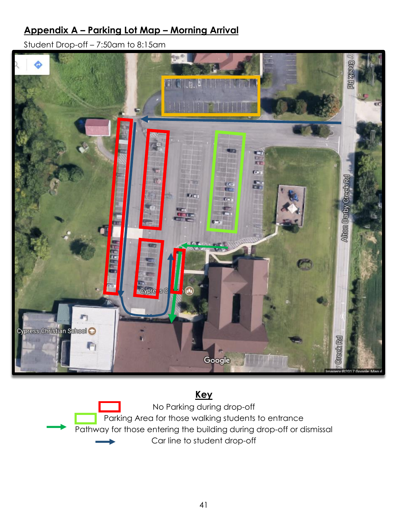# <span id="page-40-0"></span>**Appendix A – Parking Lot Map – Morning Arrival**

Student Drop-off – 7:50am to 8:15am



# **Key**

No Parking during drop-off Parking Area for those walking students to entrance Pathway for those entering the building during drop-off or dismissal Car line to student drop-off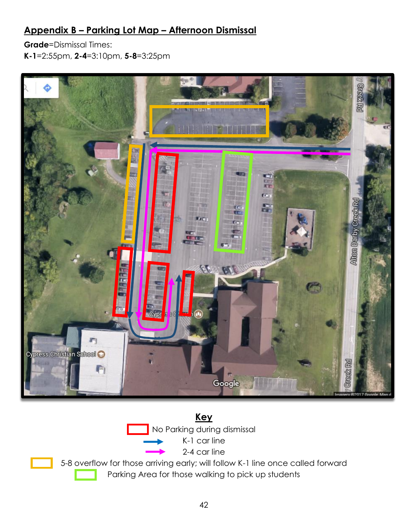# <span id="page-41-0"></span>**Appendix B – Parking Lot Map – Afternoon Dismissal**

**Grade**=Dismissal Times: **K-1**=2:55pm, **2-4**=3:10pm, **5-8**=3:25pm



# **Key** No Parking during dismissal K-1 car line 2-4 car line

5-8 overflow for those arriving early; will follow K-1 line once called forward Parking Area for those walking to pick up students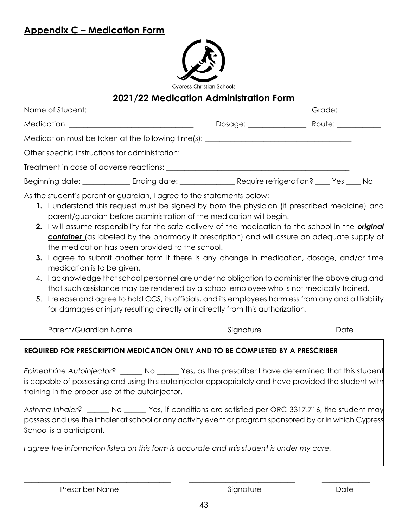# <span id="page-42-0"></span>**Appendix C – Medication Form**



# **2021/22 Medication Administration Form**

|                                                                                                                                                                        |  | Grade: ___________ |  |
|------------------------------------------------------------------------------------------------------------------------------------------------------------------------|--|--------------------|--|
|                                                                                                                                                                        |  | Route: __________  |  |
| Medication must be taken at the following time(s): _____________________________                                                                                       |  |                    |  |
| Other specific instructions for administration: ________________________________                                                                                       |  |                    |  |
|                                                                                                                                                                        |  |                    |  |
| Beginning date: ______________________Ending date: ______________________________Require refrigeration? ______Yes ______No                                             |  |                    |  |
| As the student's parent or guardian, I agree to the statements below:<br>1. Lunderstand this request must be signed by both the physician (if prescribed medicine) and |  |                    |  |

- **1.** I understand this request must be signed by *both* the physician (if prescribed medicine) and parent/guardian before administration of the medication will begin.
- **2.** I will assume responsibility for the safe delivery of the medication to the school in the *original container* (as labeled by the pharmacy if prescription) and will assure an adequate supply of the medication has been provided to the school.
- **3.** I agree to submit another form if there is any change in medication, dosage, and/or time medication is to be given.
- 4. I acknowledge that school personnel are under no obligation to administer the above drug and that such assistance may be rendered by a school employee who is not medically trained.
- 5. I release and agree to hold CCS, its officials, and its employees harmless from any and all liability for damages or injury resulting directly or indirectly from this authorization.

Parent/Guardian Name and Signature Signature Date

\_\_\_\_\_\_\_\_\_\_\_\_\_\_\_\_\_\_\_\_\_\_\_\_\_\_\_\_\_\_\_\_\_\_\_\_\_\_\_\_ \_\_\_\_\_\_\_\_\_\_\_\_\_\_\_\_\_\_\_\_\_\_\_\_\_\_\_\_\_ \_\_\_\_\_\_\_\_\_\_\_\_\_

#### **REQUIRED FOR PRESCRIPTION MEDICATION ONLY AND TO BE COMPLETED BY A PRESCRIBER**

*Epinephrine Autoinjector*? \_\_\_\_\_\_ No \_\_\_\_\_\_ Yes, as the prescriber I have determined that this student is capable of possessing and using this autoinjector appropriately and have provided the student with training in the proper use of the autoinjector.

*Asthma Inhaler?* \_\_\_\_\_\_ No \_\_\_\_\_\_ Yes, if conditions are satisfied per ORC 3317.716, the student may possess and use the inhaler at school or any activity event or program sponsored by or in which Cypress School is a participant.

*I agree the information listed on this form is accurate and this student is under my care.*

\_\_\_\_\_\_\_\_\_\_\_\_\_\_\_\_\_\_\_\_\_\_\_\_\_\_\_\_\_\_\_\_\_\_\_\_\_\_\_\_ \_\_\_\_\_\_\_\_\_\_\_\_\_\_\_\_\_\_\_\_\_\_\_\_\_\_\_\_\_ \_\_\_\_\_\_\_\_\_\_\_\_\_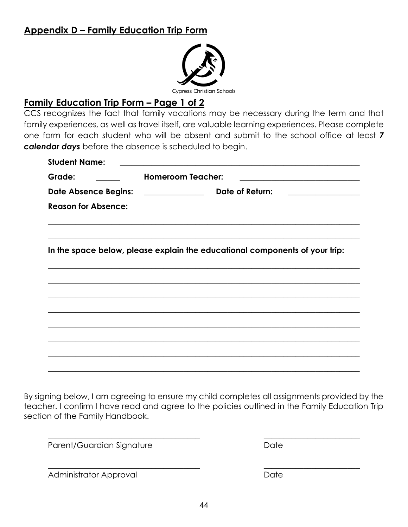# <span id="page-43-0"></span>**Appendix D – Family Education Trip Form**



# **Family Education Trip Form – Page 1 of 2**

CCS recognizes the fact that family vacations may be necessary during the term and that family experiences, as well as travel itself, are valuable learning experiences. Please complete one form for each student who will be absent and submit to the school office at least *7 calendar days* before the absence is scheduled to begin.

| Grade:                             | <b>Homeroom Teacher:</b><br><u> 1989 - Johann Barn, mars ann an t-Amhain Aonaich an t-Aonaich an t-Aonaich an t-Aonaich an t-Aonaich an t-Aon</u>                      |
|------------------------------------|------------------------------------------------------------------------------------------------------------------------------------------------------------------------|
| Date Absence Begins: _____________ | Date of Return:<br><u> 1989 - Andrea Station Barbara, amerikan per</u>                                                                                                 |
| <b>Reason for Absence:</b>         |                                                                                                                                                                        |
|                                    | In the space below, please explain the educational components of your trip:                                                                                            |
|                                    | ,我们也不能在这里的时候,我们也不能在这里的时候,我们也不能不能不能不能不能不能不能不能不能不能不能不能不能不能不能。""我们不能不能不能不能不能不能不能不能不能<br>,我们也不能在这里的人,我们也不能在这里的人,我们也不能在这里的人,我们也不能在这里的人,我们也不能在这里的人,我们也不能在这里的人,我们也不能在这里的人,我们也 |
|                                    | ,我们也不能在这里的时候,我们也不能在这里的时候,我们也不能在这里的时候,我们也不能会不能会不能会不能会不能会不能会不能会不能会。<br>第2012章 我们的时候,我们的时候,我们的时候,我们的时候,我们的时候,我们的时候,我们的时候,我们的时候,我们的时候,我们的时候,我们的时候,我们的时候,我                  |
|                                    |                                                                                                                                                                        |
|                                    |                                                                                                                                                                        |
|                                    |                                                                                                                                                                        |
|                                    |                                                                                                                                                                        |

By signing below, I am agreeing to ensure my child completes all assignments provided by the teacher. I confirm I have read and agree to the policies outlined in the Family Education Trip section of the Family Handbook.

\_\_\_\_\_\_\_\_\_\_\_\_\_\_\_\_\_\_\_\_\_\_\_\_\_\_\_\_\_\_\_\_\_\_\_\_\_\_ \_\_\_\_\_\_\_\_\_\_\_\_\_\_\_\_\_\_\_\_\_\_\_\_

\_\_\_\_\_\_\_\_\_\_\_\_\_\_\_\_\_\_\_\_\_\_\_\_\_\_\_\_\_\_\_\_\_\_\_\_\_\_ \_\_\_\_\_\_\_\_\_\_\_\_\_\_\_\_\_\_\_\_\_\_\_\_

Parent/Guardian Signature **Date** Date

Administrator Approval Date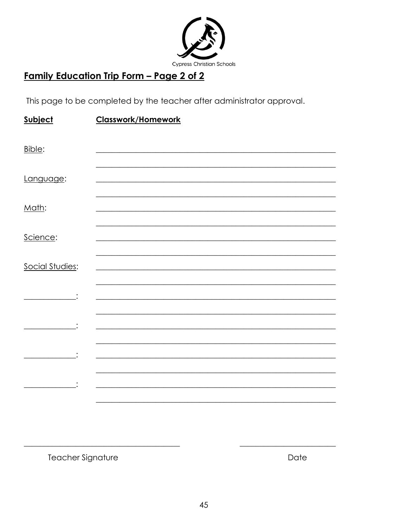

# <u>Family Education Trip Form - Page 2 of 2</u>

This page to be completed by the teacher after administrator approval.

| Subject         | <b>Classwork/Homework</b> |
|-----------------|---------------------------|
| Bible:          |                           |
| Language:       |                           |
| Math:           |                           |
| Science:        |                           |
| Social Studies: |                           |
|                 |                           |
|                 |                           |
|                 |                           |
|                 |                           |
|                 |                           |
|                 |                           |

Teacher Signature

Date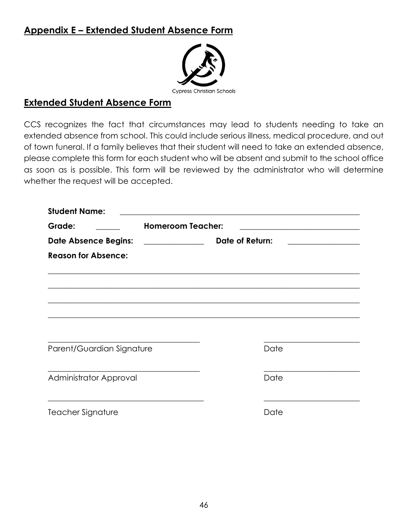# <span id="page-45-0"></span>**Appendix E – Extended Student Absence Form**



## **Extended Student Absence Form**

CCS recognizes the fact that circumstances may lead to students needing to take an extended absence from school. This could include serious illness, medical procedure, and out of town funeral. If a family believes that their student will need to take an extended absence, please complete this form for each student who will be absent and submit to the school office as soon as is possible. This form will be reviewed by the administrator who will determine whether the request will be accepted.

| <b>Student Name:</b>        |                                               |                 |                                              |
|-----------------------------|-----------------------------------------------|-----------------|----------------------------------------------|
| Grade:                      | <b>Homeroom Teacher:</b>                      |                 |                                              |
| <b>Date Absence Begins:</b> | <u> 1986 - Johann Stoff, fransk politik (</u> | Date of Return: | the control of the control of the control of |
| <b>Reason for Absence:</b>  |                                               |                 |                                              |
|                             |                                               |                 |                                              |
|                             |                                               |                 |                                              |
|                             |                                               |                 |                                              |
|                             |                                               |                 |                                              |
| Parent/Guardian Signature   |                                               | Date            |                                              |
| Administrator Approval      |                                               | Date            |                                              |
|                             |                                               |                 |                                              |
| Teacher Signature           |                                               | Date            |                                              |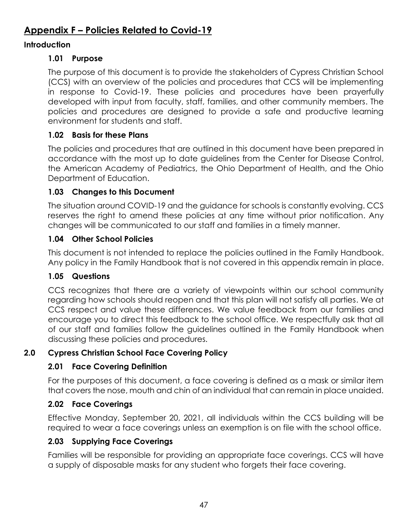# <span id="page-46-0"></span>**Appendix F – Policies Related to Covid-19**

#### **Introduction**

#### **1.01 Purpose**

The purpose of this document is to provide the stakeholders of Cypress Christian School (CCS) with an overview of the policies and procedures that CCS will be implementing in response to Covid-19. These policies and procedures have been prayerfully developed with input from faculty, staff, families, and other community members. The policies and procedures are designed to provide a safe and productive learning environment for students and staff.

#### **1.02 Basis for these Plans**

The policies and procedures that are outlined in this document have been prepared in accordance with the most up to date guidelines from the Center for Disease Control, the American Academy of Pediatrics, the Ohio Department of Health, and the Ohio Department of Education.

## **1.03 Changes to this Document**

The situation around COVID-19 and the guidance for schools is constantly evolving. CCS reserves the right to amend these policies at any time without prior notification. Any changes will be communicated to our staff and families in a timely manner.

#### **1.04 Other School Policies**

This document is not intended to replace the policies outlined in the Family Handbook. Any policy in the Family Handbook that is not covered in this appendix remain in place.

#### **1.05 Questions**

CCS recognizes that there are a variety of viewpoints within our school community regarding how schools should reopen and that this plan will not satisfy all parties. We at CCS respect and value these differences. We value feedback from our families and encourage you to direct this feedback to the school office. We respectfully ask that all of our staff and families follow the guidelines outlined in the Family Handbook when discussing these policies and procedures.

#### **2.0 Cypress Christian School Face Covering Policy**

#### **2.01 Face Covering Definition**

For the purposes of this document, a face covering is defined as a mask or similar item that covers the nose, mouth and chin of an individual that can remain in place unaided.

#### **2.02 Face Coverings**

Effective Monday, September 20, 2021, all individuals within the CCS building will be required to wear a face coverings unless an exemption is on file with the school office.

#### **2.03 Supplying Face Coverings**

Families will be responsible for providing an appropriate face coverings. CCS will have a supply of disposable masks for any student who forgets their face covering.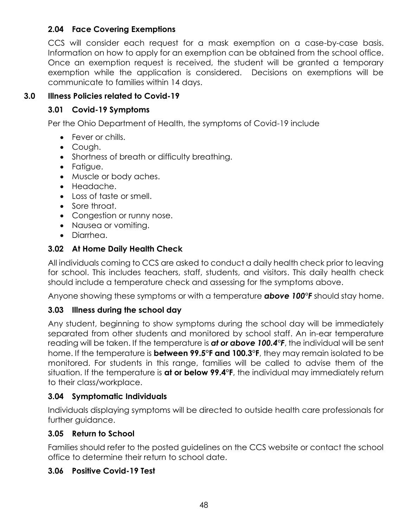#### **2.04 Face Covering Exemptions**

CCS will consider each request for a mask exemption on a case-by-case basis. Information on how to apply for an exemption can be obtained from the school office. Once an exemption request is received, the student will be granted a temporary exemption while the application is considered. Decisions on exemptions will be communicate to families within 14 days.

## **3.0 Illness Policies related to Covid-19**

#### **3.01 Covid-19 Symptoms**

Per the Ohio Department of Health, the symptoms of Covid-19 include

- Fever or chills.
- Cough.
- Shortness of breath or difficulty breathing.
- Fatigue.
- Muscle or body aches.
- Headache.
- Loss of taste or smell.
- Sore throat.
- Congestion or runny nose.
- Nausea or vomiting.
- Diarrhea.

## **3.02 At Home Daily Health Check**

All individuals coming to CCS are asked to conduct a daily health check prior to leaving for school. This includes teachers, staff, students, and visitors. This daily health check should include a temperature check and assessing for the symptoms above.

Anyone showing these symptoms or with a temperature *above 100°F* should stay home.

# **3.03 Illness during the school day**

Any student, beginning to show symptoms during the school day will be immediately separated from other students and monitored by school staff. An in-ear temperature reading will be taken. If the temperature is *at or above 100.4°F*, the individual will be sent home. If the temperature is **between 99.5°F and 100.3°F**, they may remain isolated to be monitored. For students in this range, families will be called to advise them of the situation. If the temperature is **at or below 99.4°F**, the individual may immediately return to their class/workplace.

#### **3.04 Symptomatic Individuals**

Individuals displaying symptoms will be directed to outside health care professionals for further guidance.

#### **3.05 Return to School**

Families should refer to the posted guidelines on the CCS website or contact the school office to determine their return to school date.

#### **3.06 Positive Covid-19 Test**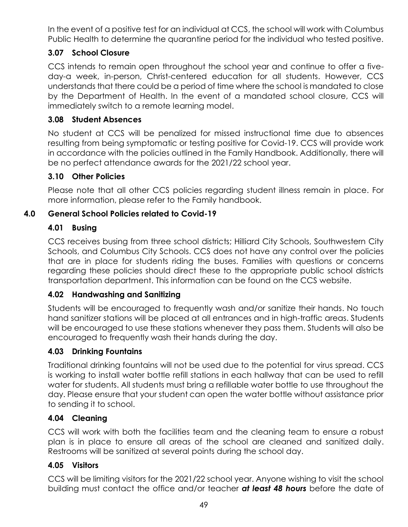In the event of a positive test for an individual at CCS, the school will work with Columbus Public Health to determine the quarantine period for the individual who tested positive.

## **3.07 School Closure**

CCS intends to remain open throughout the school year and continue to offer a fiveday-a week, in-person, Christ-centered education for all students. However, CCS understands that there could be a period of time where the school is mandated to close by the Department of Health. In the event of a mandated school closure, CCS will immediately switch to a remote learning model.

#### **3.08 Student Absences**

No student at CCS will be penalized for missed instructional time due to absences resulting from being symptomatic or testing positive for Covid-19. CCS will provide work in accordance with the policies outlined in the Family Handbook. Additionally, there will be no perfect attendance awards for the 2021/22 school year.

#### **3.10 Other Policies**

Please note that all other CCS policies regarding student illness remain in place. For more information, please refer to the Family handbook.

#### **4.0 General School Policies related to Covid-19**

#### **4.01 Busing**

CCS receives busing from three school districts; Hilliard City Schools, Southwestern City Schools, and Columbus City Schools. CCS does not have any control over the policies that are in place for students riding the buses. Families with questions or concerns regarding these policies should direct these to the appropriate public school districts transportation department. This information can be found on the CCS website.

#### **4.02 Handwashing and Sanitizing**

Students will be encouraged to frequently wash and/or sanitize their hands. No touch hand sanitizer stations will be placed at all entrances and in high-traffic areas. Students will be encouraged to use these stations whenever they pass them. Students will also be encouraged to frequently wash their hands during the day.

#### **4.03 Drinking Fountains**

Traditional drinking fountains will not be used due to the potential for virus spread. CCS is working to install water bottle refill stations in each hallway that can be used to refill water for students. All students must bring a refillable water bottle to use throughout the day. Please ensure that your student can open the water bottle without assistance prior to sending it to school.

#### **4.04 Cleaning**

CCS will work with both the facilities team and the cleaning team to ensure a robust plan is in place to ensure all areas of the school are cleaned and sanitized daily. Restrooms will be sanitized at several points during the school day.

#### **4.05 Visitors**

CCS will be limiting visitors for the 2021/22 school year. Anyone wishing to visit the school building must contact the office and/or teacher *at least 48 hours* before the date of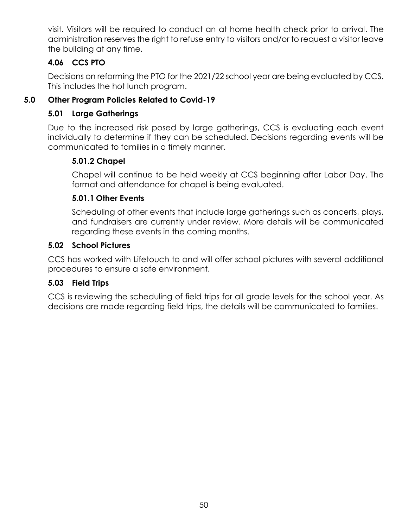visit. Visitors will be required to conduct an at home health check prior to arrival. The administration reserves the right to refuse entry to visitors and/or to request a visitor leave the building at any time.

## **4.06 CCS PTO**

Decisions on reforming the PTO for the 2021/22 school year are being evaluated by CCS. This includes the hot lunch program.

## **5.0 Other Program Policies Related to Covid-19**

#### **5.01 Large Gatherings**

Due to the increased risk posed by large gatherings, CCS is evaluating each event individually to determine if they can be scheduled. Decisions regarding events will be communicated to families in a timely manner.

## **5.01.2 Chapel**

Chapel will continue to be held weekly at CCS beginning after Labor Day. The format and attendance for chapel is being evaluated.

## **5.01.1 Other Events**

Scheduling of other events that include large gatherings such as concerts, plays, and fundraisers are currently under review. More details will be communicated regarding these events in the coming months.

#### **5.02 School Pictures**

CCS has worked with Lifetouch to and will offer school pictures with several additional procedures to ensure a safe environment.

#### **5.03 Field Trips**

CCS is reviewing the scheduling of field trips for all grade levels for the school year. As decisions are made regarding field trips, the details will be communicated to families.